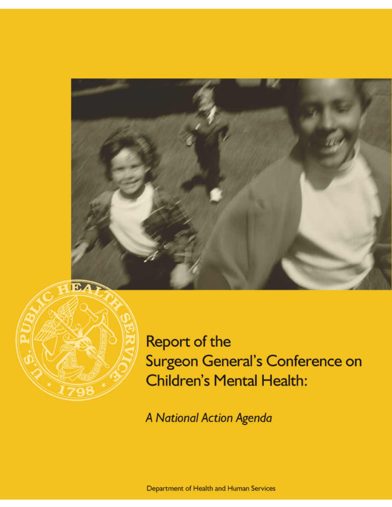



Report of the Surgeon General's Conference on **Children's Mental Health:** 

A National Action Agenda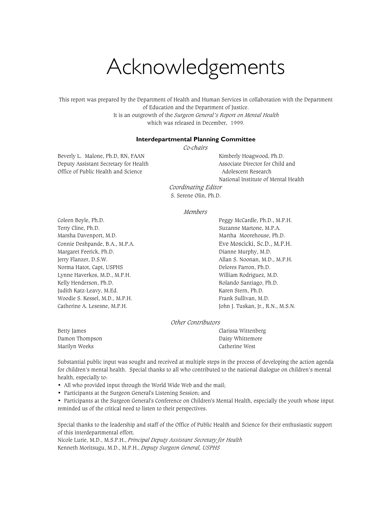# Acknowledgements

This report was prepared by the Department of Health and Human Services in collaboration with the Department of Education and the Department of Justice. It is an outgrowth of the *Surgeon General's Report on Mental Health* which was released in December, 1999.

#### **Interdepartmental Planning Committee**

*Co-chairs*

Beverly L. Malone, Ph.D, RN, FAAN Kimberly Hoagwood, Ph.D. Deputy Assistant Secretary for Health Associate Director for Child and Office of Public Health and Science Adolescent Research

National Institute of Mental Health

*Coordinating Editor* S. Serene Olin, Ph.D.

#### *Members*

Coleen Boyle, Ph.D. **Peggy McCardle, Ph.D., M.P.H.** Peggy McCardle, Ph.D., M.P.H. Terry Cline, Ph.D. Suzanne Martone, M.P.A. Marsha Davenport, M.D. Marsha Davenport, M.D. Connie Deshpande, B.A., M.P.A. Eve Moscicki, Sc.D., M.P.H. Margaret Feerick, Ph.D. **Dianne Murphy, M.D.** Dianne Murphy, M.D. Jerry Flanzer, D.S.W. Allan S. Noonan, M.D., M.P.H. Norma Hatot, Capt, USPHS Delores Parron, Ph.D. Lynne Haverkos, M.D., M.P.H. William Rodriguez, M.D. Kelly Henderson, Ph.D. **Rolando Santiago, Ph.D.** Rolando Santiago, Ph.D. Judith Katz-Leavy, M.Ed. Karen Stern, Ph.D. Woodie S. Kessel, M.D., M.P.H. Frank Sullivan, M.D. Catherine A. Lesesne, M.P.H. (2008) [2010] John J. Tuskan, Jr., R.N., M.S.N.

#### *Other Contributors*

Damon Thompson Daisy Whittemore Marilyn Weeks Catherine West

Betty James Clarissa Wittenberg

Substantial public input was sought and received at multiple steps in the process of developing the action agenda for children's mental health. Special thanks to all who contributed to the national dialogue on children's mental health, especially to:

- All who provided input through the World Wide Web and the mail;
- Participants at the Surgeon General's Listening Session; and
- Participants at the Surgeon General's Conference on Children's Mental Health, especially the youth whose input reminded us of the critical need to listen to their perspectives.

Special thanks to the leadership and staff of the Office of Public Health and Science for their enthusiastic support of this interdepartmental effort.

Nicole Lurie, M.D., M.S.P.H., *Principal Deputy Assistant Secretary for Health* Kenneth Moritsugu, M.D., M.P.H., *Deputy Surgeon General, USPHS*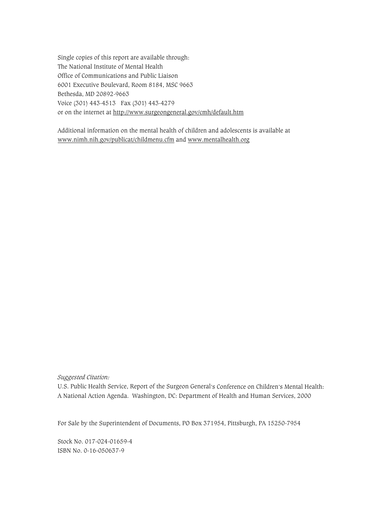Single copies of this report are available through: The National Institute of Mental Health Office of Communications and Public Liaison 6001 Executive Boulevard, Room 8184, MSC 9663 Bethesda, MD 20892-9663 Voice (301) 443-4513 Fax (301) 443-4279 or on the internet at http://www.surgeongeneral.gov/cmh/default.htm

Additional information on the mental health of children and adolescents is available at [www.nimh.nih.gov/publicat/childmenu.cfm a](www.nimh.nih.gov/publicat/childmenu.cfm)nd [www.mentalhealth.org](http://www.mentalhealth.org)

*Suggested Citation:*

U.S. Public Health Service, Report of the Surgeon General's Conference on Children's Mental Health: A National Action Agenda. Washington, DC: Department of Health and Human Services, 2000

For Sale by the Superintendent of Documents, PO Box 371954, Pittsburgh, PA 15250-7954

Stock No. 017-024-01659-4 ISBN No. 0-16-050637-9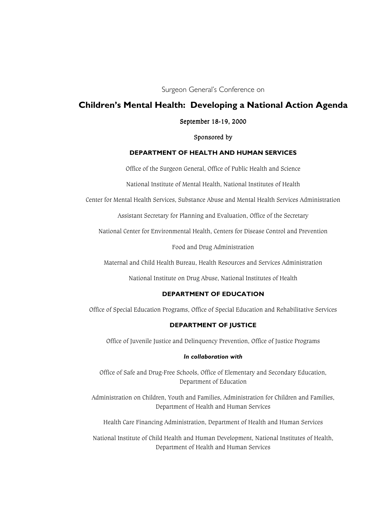Surgeon General's Conference on

# **Children's Mental Health: Developing a National Action Agenda**

#### September 18-19, 2000

Sponsored by

### **DEPARTMENT OF HEALTH AND HUMAN SERVICES**

Office of the Surgeon General, Office of Public Health and Science

National Institute of Mental Health, National Institutes of Health

Center for Mental Health Services, Substance Abuse and Mental Health Services Administration

Assistant Secretary for Planning and Evaluation, Office of the Secretary

National Center for Environmental Health, Centers for Disease Control and Prevention

Food and Drug Administration

Maternal and Child Health Bureau, Health Resources and Services Administration

National Institute on Drug Abuse, National Institutes of Health

#### **DEPARTMENT OF EDUCATION**

Office of Special Education Programs, Office of Special Education and Rehabilitative Services

#### **DEPARTMENT OF JUSTICE**

Office of Juvenile Justice and Delinquency Prevention, Office of Justice Programs

#### *In collaboration with*

Office of Safe and Drug-Free Schools, Office of Elementary and Secondary Education, Department of Education

Administration on Children, Youth and Families, Administration for Children and Families, Department of Health and Human Services

Health Care Financing Administration, Department of Health and Human Services

National Institute of Child Health and Human Development, National Institutes of Health, Department of Health and Human Services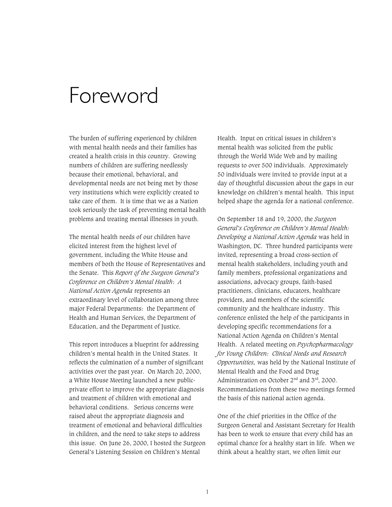# Foreword

The burden of suffering experienced by children with mental health needs and their families has created a health crisis in this country. Growing numbers of children are suffering needlessly because their emotional, behavioral, and developmental needs are not being met by those very institutions which were explicitly created to take care of them. It is time that we as a Nation took seriously the task of preventing mental health problems and treating mental illnesses in youth.

The mental health needs of our children have elicited interest from the highest level of government, including the White House and members of both the House of Representatives and the Senate. This *Report of the Surgeon General's Conference on Children's Mental Health*: *A National Action Agenda* represents an extraordinary level of collaboration among three major Federal Departments: the Department of Health and Human Services, the Department of Education, and the Department of Justice.

This report introduces a blueprint for addressing children's mental health in the United States. It reflects the culmination of a number of significant activities over the past year. On March 20, 2000, a White House Meeting launched a new publicprivate effort to improve the appropriate diagnosis and treatment of children with emotional and behavioral conditions. Serious concerns were raised about the appropriate diagnosis and treatment of emotional and behavioral difficulties in children, and the need to take steps to address this issue. On June 26, 2000, I hosted the Surgeon General's Listening Session on Children's Mental

Health. Input on critical issues in children's mental health was solicited from the public through the World Wide Web and by mailing requests to over 500 individuals. Approximately 50 individuals were invited to provide input at a day of thoughtful discussion about the gaps in our knowledge on children's mental health. This input helped shape the agenda for a national conference.

On September 18 and 19, 2000, the *Surgeon General's Conference on Children's Mental Health: Developing a National Action Agenda* was held in Washington, DC. Three hundred participants were invited, representing a broad cross-section of mental health stakeholders, including youth and family members, professional organizations and associations, advocacy groups, faith-based practitioners, clinicians, educators, healthcare providers, and members of the scientific community and the healthcare industry. This conference enlisted the help of the participants in developing specific recommendations for a National Action Agenda on Children's Mental Health. A related meeting on *Psychopharmacology for Young Children: Clinical Needs and Research Opportunities,* was held by the National Institute of Mental Health and the Food and Drug Administration on October  $2<sup>nd</sup>$  and  $3<sup>rd</sup>$ , 2000. Recommendations from these two meetings formed the basis of this national action agenda.

One of the chief priorities in the Office of the Surgeon General and Assistant Secretary for Health has been to work to ensure that every child has an optimal chance for a healthy start in life. When we think about a healthy start, we often limit our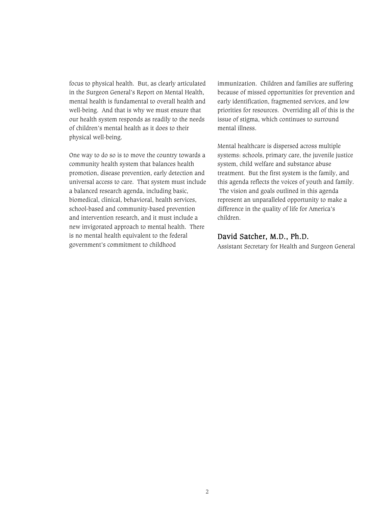focus to physical health. But, as clearly articulated in the Surgeon General's Report on Mental Health, mental health is fundamental to overall health and well-being. And that is why we must ensure that our health system responds as readily to the needs of children's mental health as it does to their physical well-being.

One way to do so is to move the country towards a community health system that balances health promotion, disease prevention, early detection and universal access to care. That system must include a balanced research agenda, including basic, biomedical, clinical, behavioral, health services, school-based and community-based prevention and intervention research, and it must include a new invigorated approach to mental health. There is no mental health equivalent to the federal government's commitment to childhood

immunization. Children and families are suffering because of missed opportunities for prevention and early identification, fragmented services, and low priorities for resources. Overriding all of this is the issue of stigma, which continues to surround mental illness.

Mental healthcare is dispersed across multiple systems: schools, primary care, the juvenile justice system, child welfare and substance abuse treatment. But the first system is the family, and this agenda reflects the voices of youth and family. The vision and goals outlined in this agenda represent an unparalleled opportunity to make a difference in the quality of life for America's children.

# David Satcher, M.D., Ph.D.

Assistant Secretary for Health and Surgeon General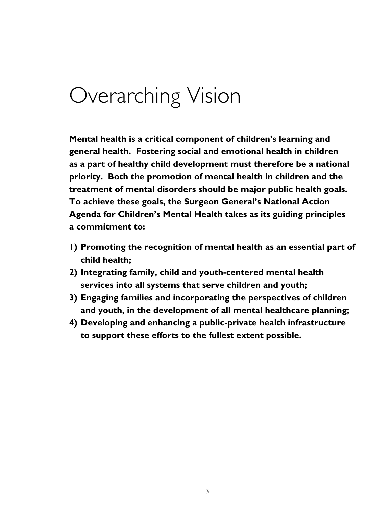# Overarching Vision

**Mental health is a critical component of children's learning and general health. Fostering social and emotional health in children as a part of healthy child development must therefore be a national priority. Both the promotion of mental health in children and the treatment of mental disorders should be major public health goals. To achieve these goals, the Surgeon General's National Action Agenda for Children's Mental Health takes as its guiding principles a commitment to:** 

- **1) Promoting the recognition of mental health as an essential part of child health;**
- **2) Integrating family, child and youth-centered mental health services into all systems that serve children and youth;**
- **3) Engaging families and incorporating the perspectives of children and youth, in the development of all mental healthcare planning;**
- **4) Developing and enhancing a public-private health infrastructure to support these efforts to the fullest extent possible.**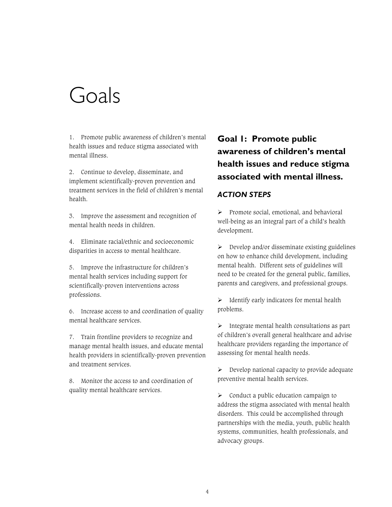# Goals

1. Promote public awareness of children's mental health issues and reduce stigma associated with mental illness.

2. Continue to develop, disseminate, and implement scientifically-proven prevention and treatment services in the field of children's mental health.

3. Improve the assessment and recognition of mental health needs in children.

4. Eliminate racial/ethnic and socioeconomic disparities in access to mental healthcare.

5. Improve the infrastructure for children's mental health services including support for scientifically-proven interventions across professions.

6. Increase access to and coordination of quality mental healthcare services.

7. Train frontline providers to recognize and manage mental health issues, and educate mental health providers in scientifically-proven prevention and treatment services.

8. Monitor the access to and coordination of quality mental healthcare services.

# **Goal 1: Promote public awareness of children's mental health issues and reduce stigma associated with mental illness.**

# *ACTION STEPS*

 $\triangleright$  Promote social, emotional, and behavioral well-being as an integral part of a child's health development.

 $\triangleright$  Develop and/or disseminate existing guidelines on how to enhance child development, including mental health. Different sets of guidelines will need to be created for the general public, families, parents and caregivers, and professional groups.

 $\triangleright$  Identify early indicators for mental health problems.

 $\triangleright$  Integrate mental health consultations as part of children's overall general healthcare and advise healthcare providers regarding the importance of assessing for mental health needs.

 $\triangleright$  Develop national capacity to provide adequate preventive mental health services.

 $\triangleright$  Conduct a public education campaign to address the stigma associated with mental health disorders. This could be accomplished through partnerships with the media, youth, public health systems, communities, health professionals, and advocacy groups.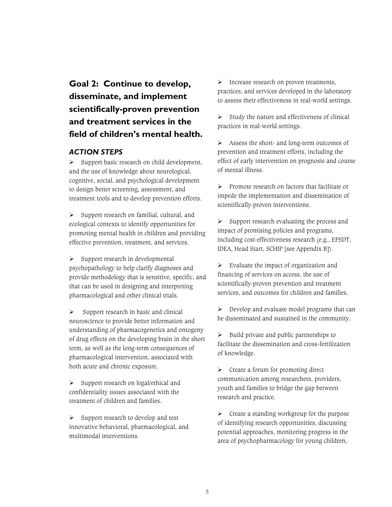# **Goal 2: Continue to develop, disseminate, and implement scientifically-proven prevention and treatment services in the field of children's mental health.**

# *ACTION STEPS*

 $\triangleright$  Support basic research on child development, and the use of knowledge about neurological, cognitive, social, and psychological development to design better screening, assessment, and treatment tools and to develop prevention efforts.

 $\triangleright$  Support research on familial, cultural, and ecological contexts to identify opportunities for promoting mental health in children and providing effective prevention, treatment, and services.

 $\triangleright$  Support research in developmental psychopathology to help clarify diagnoses and provide methodology that is sensitive, specific, and that can be used in designing and interpreting pharmacological and other clinical trials.

 $\triangleright$  Support research in basic and clinical neuroscience to provide better information and understanding of pharmacogenetics and ontogeny of drug effects on the developing brain in the short term, as well as the long-term consequences of pharmacological intervention, associated with both acute and chronic exposure.

 $\triangleright$  Support research on legal/ethical and confidentiality issues associated with the treatment of children and families.

 $\triangleright$  Support research to develop and test innovative behavioral, pharmacological, and multimodal interventions.

 $\triangleright$  Increase research on proven treatments, practices, and services developed in the laboratory to assess their effectiveness in real-world settings.

 $\triangleright$  Study the nature and effectiveness of clinical practices in real-world settings.

 $\triangleright$  Assess the short- and long-term outcomes of prevention and treatment efforts, including the effect of early intervention on prognosis and course of mental illness.

 $\triangleright$  Promote research on factors that facilitate or impede the implementation and dissemination of scientifically-proven interventions.

 $\triangleright$  Support research evaluating the process and impact of promising policies and programs, including cost-effectiveness research (e.g., EPSDT, IDEA, Head Start, SCHIP [see Appendix B]).

 $\triangleright$  Evaluate the impact of organization and financing of services on access, the use of scientifically-proven prevention and treatment services, and outcomes for children and families.

 $\triangleright$  Develop and evaluate model programs that can be disseminated and sustained in the community.

 $\triangleright$  Build private and public partnerships to facilitate the dissemination and cross-fertilization of knowledge.

 $\triangleright$  Create a forum for promoting direct communication among researchers, providers, youth and families to bridge the gap between research and practice.

 $\triangleright$  Create a standing workgroup for the purpose of identifying research opportunities, discussing potential approaches, monitoring progress in the area of psychopharmacology for young children,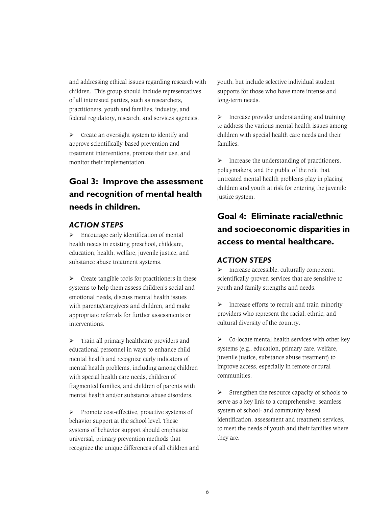and addressing ethical issues regarding research with children. This group should include representatives of all interested parties, such as researchers, practitioners, youth and families, industry, and federal regulatory, research, and services agencies.

 $\triangleright$  Create an oversight system to identify and approve scientifically-based prevention and treatment interventions, promote their use, and monitor their implementation.

# **Goal 3: Improve the assessment and recognition of mental health needs in children.**

# *ACTION STEPS*

 $\triangleright$  Encourage early identification of mental health needs in existing preschool, childcare, education, health, welfare, juvenile justice, and substance abuse treatment systems.

 $\triangleright$  Create tangible tools for practitioners in these systems to help them assess children's social and emotional needs, discuss mental health issues with parents/caregivers and children, and make appropriate referrals for further assessments or interventions.

 $\triangleright$  Train all primary healthcare providers and educational personnel in ways to enhance child mental health and recognize early indicators of mental health problems, including among children with special health care needs, children of fragmented families, and children of parents with mental health and/or substance abuse disorders.

 $\triangleright$  Promote cost-effective, proactive systems of behavior support at the school level. These systems of behavior support should emphasize universal, primary prevention methods that recognize the unique differences of all children and youth, but include selective individual student supports for those who have more intense and long-term needs.

 $\triangleright$  Increase provider understanding and training to address the various mental health issues among children with special health care needs and their families.

 $\triangleright$  Increase the understanding of practitioners, policymakers, and the public of the role that untreated mental health problems play in placing children and youth at risk for entering the juvenile justice system.

# **Goal 4: Eliminate racial/ethnic and socioeconomic disparities in access to mental healthcare.**

# *ACTION STEPS*

 $\triangleright$  Increase accessible, culturally competent, scientifically-proven services that are sensitive to youth and family strengths and needs.

 $\triangleright$  Increase efforts to recruit and train minority providers who represent the racial, ethnic, and cultural diversity of the country.

 $\triangleright$  Co-locate mental health services with other key systems (e.g., education, primary care, welfare, juvenile justice, substance abuse treatment) to improve access, especially in remote or rural communities.

 $\triangleright$  Strengthen the resource capacity of schools to serve as a key link to a comprehensive, seamless system of school- and community-based identification, assessment and treatment services, to meet the needs of youth and their families where they are.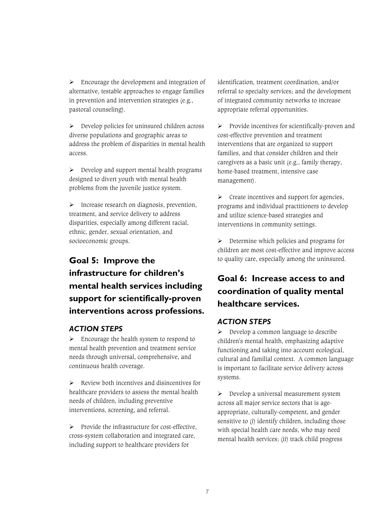$\triangleright$  Encourage the development and integration of alternative, testable approaches to engage families in prevention and intervention strategies (e.g., pastoral counseling).

 $\triangleright$  Develop policies for uninsured children across diverse populations and geographic areas to address the problem of disparities in mental health access.

 $\triangleright$  Develop and support mental health programs designed to divert youth with mental health problems from the juvenile justice system.

 $\triangleright$  Increase research on diagnosis, prevention, treatment, and service delivery to address disparities, especially among different racial, ethnic, gender, sexual orientation, and socioeconomic groups.

# **Goal 5: Improve the infrastructure for children's mental health services including support for scientifically-proven interventions across professions.**

# *ACTION STEPS*

 $\triangleright$  Encourage the health system to respond to mental health prevention and treatment service needs through universal, comprehensive, and continuous health coverage.

 $\triangleright$  Review both incentives and disincentives for healthcare providers to assess the mental health needs of children, including preventive interventions, screening, and referral.

 $\triangleright$  Provide the infrastructure for cost-effective, cross-system collaboration and integrated care, including support to healthcare providers for

identification, treatment coordination, and/or referral to specialty services; and the development of integrated community networks to increase appropriate referral opportunities.

 $\triangleright$  Provide incentives for scientifically-proven and cost-effective prevention and treatment interventions that are organized to support families, and that consider children and their caregivers as a basic unit (e.g., family therapy, home-based treatment, intensive case management).

 $\triangleright$  Create incentives and support for agencies, programs and individual practitioners to develop and utilize science-based strategies and interventions in community settings.

 $\triangleright$  Determine which policies and programs for children are most cost-effective and improve access to quality care, especially among the uninsured.

# **Goal 6: Increase access to and coordination of quality mental healthcare services.**

# *ACTION STEPS*

 $\triangleright$  Develop a common language to describe children's mental health, emphasizing adaptive functioning and taking into account ecological, cultural and familial context. A common language is important to facilitate service delivery across systems.

 $\triangleright$  Develop a universal measurement system across all major service sectors that is ageappropriate, culturally-competent, and gender sensitive to (i) identify children, including those with special health care needs, who may need mental health services; (ii) track child progress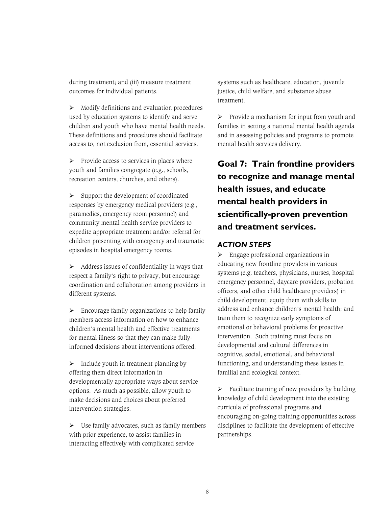during treatment; and (iii) measure treatment outcomes for individual patients.

 $\triangleright$  Modify definitions and evaluation procedures used by education systems to identify and serve children and youth who have mental health needs. These definitions and procedures should facilitate access to, not exclusion from, essential services.

 $\triangleright$  Provide access to services in places where youth and families congregate (e.g., schools, recreation centers, churches, and others).

 $\triangleright$  Support the development of coordinated responses by emergency medical providers (e.g., paramedics, emergency room personnel) and community mental health service providers to expedite appropriate treatment and/or referral for children presenting with emergency and traumatic episodes in hospital emergency rooms.

 $\triangleright$  Address issues of confidentiality in ways that respect a family's right to privacy, but encourage coordination and collaboration among providers in different systems.

 $\triangleright$  Encourage family organizations to help family members access information on how to enhance children's mental health and effective treatments for mental illness so that they can make fullyinformed decisions about interventions offered.

 $\triangleright$  Include youth in treatment planning by offering them direct information in developmentally appropriate ways about service options. As much as possible, allow youth to make decisions and choices about preferred intervention strategies.

 $\triangleright$  Use family advocates, such as family members with prior experience, to assist families in interacting effectively with complicated service

systems such as healthcare, education, juvenile justice, child welfare, and substance abuse treatment.

 $\triangleright$  Provide a mechanism for input from youth and families in setting a national mental health agenda and in assessing policies and programs to promote mental health services delivery.

**Goal 7: Train frontline providers to recognize and manage mental health issues, and educate mental health providers in scientifically-proven prevention and treatment services.** 

# *ACTION STEPS*

 $\triangleright$  Engage professional organizations in educating new frontline providers in various systems (e.g. teachers, physicians, nurses, hospital emergency personnel, daycare providers, probation officers, and other child healthcare providers) in child development; equip them with skills to address and enhance children's mental health; and train them to recognize early symptoms of emotional or behavioral problems for proactive intervention. Such training must focus on developmental and cultural differences in cognitive, social, emotional, and behavioral functioning, and understanding these issues in familial and ecological context.

 $\triangleright$  Facilitate training of new providers by building knowledge of child development into the existing curricula of professional programs and encouraging on-going training opportunities across disciplines to facilitate the development of effective partnerships.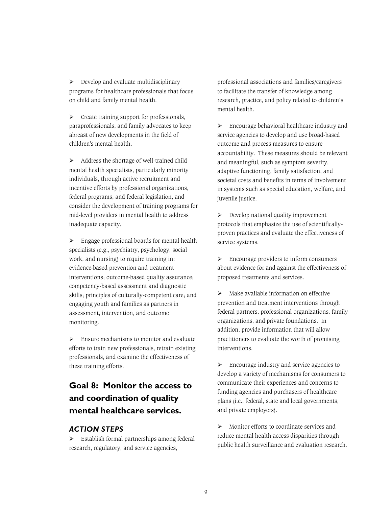$\triangleright$  Develop and evaluate multidisciplinary programs for healthcare professionals that focus on child and family mental health.

 $\triangleright$  Create training support for professionals, paraprofessionals, and family advocates to keep abreast of new developments in the field of children's mental health.

 $\triangleright$  Address the shortage of well-trained child mental health specialists, particularly minority individuals, through active recruitment and incentive efforts by professional organizations, federal programs, and federal legislation, and consider the development of training programs for mid-level providers in mental health to address inadequate capacity.

 $\triangleright$  Engage professional boards for mental health specialists (e.g., psychiatry, psychology, social work, and nursing) to require training in: evidence-based prevention and treatment interventions; outcome-based quality assurance; competency-based assessment and diagnostic skills; principles of culturally-competent care; and engaging youth and families as partners in assessment, intervention, and outcome monitoring.

 $\triangleright$  Ensure mechanisms to monitor and evaluate efforts to train new professionals, retrain existing professionals, and examine the effectiveness of these training efforts.

# **Goal 8: Monitor the access to and coordination of quality mental healthcare services.**

# *ACTION STEPS*

 $\triangleright$  Establish formal partnerships among federal research, regulatory, and service agencies,

professional associations and families/caregivers to facilitate the transfer of knowledge among research, practice, and policy related to children's mental health.

 $\triangleright$  Encourage behavioral healthcare industry and service agencies to develop and use broad-based outcome and process measures to ensure accountability. These measures should be relevant and meaningful, such as symptom severity, adaptive functioning, family satisfaction, and societal costs and benefits in terms of involvement in systems such as special education, welfare, and juvenile justice.

 $\triangleright$  Develop national quality improvement protocols that emphasize the use of scientificallyproven practices and evaluate the effectiveness of service systems.

 $\triangleright$  Encourage providers to inform consumers about evidence for and against the effectiveness of proposed treatments and services.

 $\triangleright$  Make available information on effective prevention and treatment interventions through federal partners, professional organizations, family organizations, and private foundations. In addition, provide information that will allow practitioners to evaluate the worth of promising interventions.

 $\triangleright$  Encourage industry and service agencies to develop a variety of mechanisms for consumers to communicate their experiences and concerns to funding agencies and purchasers of healthcare plans (i.e., federal, state and local governments, and private employers).

 $\triangleright$  Monitor efforts to coordinate services and reduce mental health access disparities through public health surveillance and evaluation research.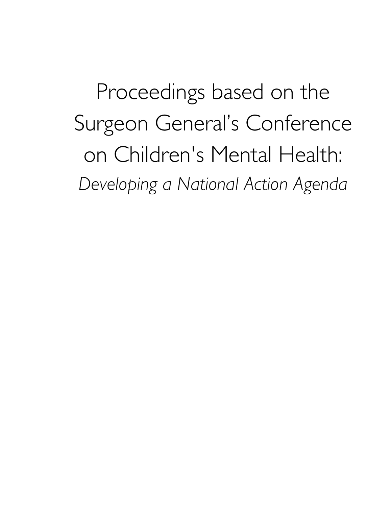Proceedings based on the Surgeon General's Conference on Children's Mental Health: *Developing a National Action Agenda*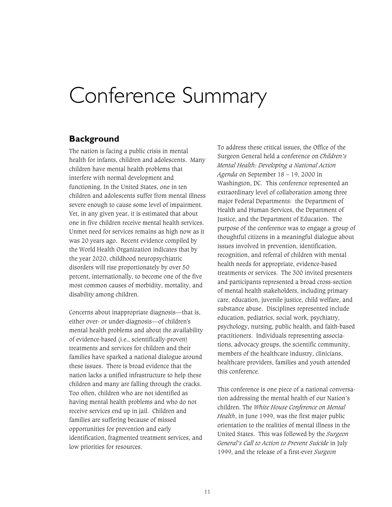# Conference Summary

# **Background**

The nation is facing a public crisis in mental health for infants, children and adolescents. Many children have mental health problems that interfere with normal development and functioning. In the United States, one in ten children and adolescents suffer from mental illness severe enough to cause some level of impairment. Yet, in any given year, it is estimated that about one in five children receive mental health services. Unmet need for services remains as high now as it was 20 years ago. Recent evidence compiled by the World Health Organization indicates that by the year 2020, childhood neuropsychiatric disorders will rise proportionately by over 50 percent, internationally, to become one of the five most common causes of morbidity, mortality, and disability among children.

Concerns about inappropriate diagnosis—that is, either over- or under-diagnosis—of children's mental health problems and about the availability of evidence-based (i.e., scientifically-proven) treatments and services for children and their families have sparked a national dialogue around these issues. There is broad evidence that the nation lacks a unified infrastructure to help these children and many are falling through the cracks. Too often, children who are not identified as having mental health problems and who do not receive services end up in jail. Children and families are suffering because of missed opportunities for prevention and early identification, fragmented treatment services, and low priorities for resources.

To address these critical issues, the Office of the Surgeon General held a conference on *Children's Mental Health: Developing a National Action Agenda* on September 18 – 19, 2000 in Washington, DC. This conference represented an extraordinary level of collaboration among three major Federal Departments: the Department of Health and Human Services, the Department of Justice, and the Department of Education. The purpose of the conference was to engage a group of thoughtful citizens in a meaningful dialogue about issues involved in prevention, identification, recognition, and referral of children with mental health needs for appropriate, evidence-based treatments or services. The 300 invited presenters and participants represented a broad cross-section of mental health stakeholders, including primary care, education, juvenile justice, child welfare, and substance abuse. Disciplines represented include education, pediatrics, social work, psychiatry, psychology, nursing, public health, and faith-based practitioners. Individuals representing associations, advocacy groups, the scientific community, members of the healthcare industry, clinicians, healthcare providers, families and youth attended this conference.

This conference is one piece of a national conversation addressing the mental health of our Nation's children. The *White House Conference on Mental Health*, in June 1999, was the first major public orientation to the realities of mental illness in the United States. This was followed by the *Surgeon General's Call to Action to Prevent Suicide* in July 1999, and the release of a first-ever *Surgeon*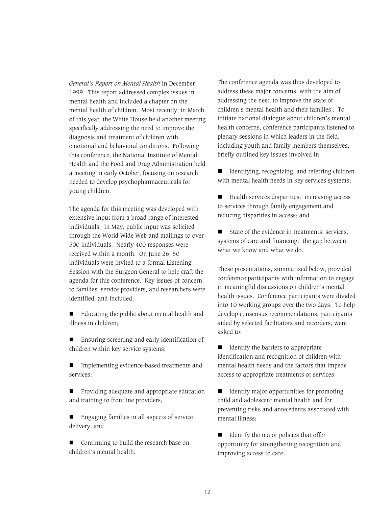*General's Report on Mental Health* in December 1999. This report addressed complex issues in mental health and included a chapter on the mental health of children. Most recently, in March of this year, the White House held another meeting specifically addressing the need to improve the diagnosis and treatment of children with emotional and behavioral conditions. Following this conference, the National Institute of Mental Health and the Food and Drug Administration held a meeting in early October, focusing on research needed to develop psychopharmaceuticals for young children.

The agenda for this meeting was developed with extensive input from a broad range of interested individuals. In May, public input was solicited through the World Wide Web and mailings to over 500 individuals. Nearly 400 responses were received within a month. On June 26, 50 individuals were invited to a formal Listening Session with the Surgeon General to help craft the agenda for this conference. Key issues of concern to families, service providers, and researchers were identified, and included:

- Educating the public about mental health and illness in children;

■ Ensuring screening and early identification of children within key service systems;

■ Implementing evidence-based treatments and services;

**T** Providing adequate and appropriate education and training to frontline providers;

■ Engaging families in all aspects of service delivery; and

■ Continuing to build the research base on children's mental health.

The conference agenda was thus developed to address these major concerns, with the aim of addressing the need to improve the state of children's mental health and their families'. To initiate national dialogue about children's mental health concerns, conference participants listened to plenary sessions in which leaders in the field, including youth and family members themselves, briefly outlined key issues involved in:

■ Identifying, recognizing, and referring children with mental health needs in key services systems;

■ Health services disparities: increasing access to services through family engagement and reducing disparities in access; and

■ State of the evidence in treatments, services, systems of care and financing: the gap between what we know and what we do.

These presentations, summarized below, provided conference participants with information to engage in meaningful discussions on children's mental health issues. Conference participants were divided into 10 working groups over the two days. To help develop consensus recommendations, participants aided by selected facilitators and recorders, were asked to:

■ Identify the barriers to appropriate identification and recognition of children with mental health needs and the factors that impede access to appropriate treatments or services;

- Identify major opportunities for promoting child and adolescent mental health and for preventing risks and antecedents associated with mental illness;

■ Identify the major policies that offer opportunity for strengthening recognition and improving access to care;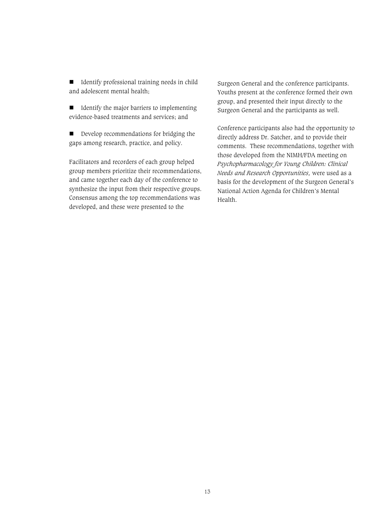■ Identify professional training needs in child and adolescent mental health;

■ Identify the major barriers to implementing evidence-based treatments and services; and

- Develop recommendations for bridging the gaps among research, practice, and policy.

Facilitators and recorders of each group helped group members prioritize their recommendations, and came together each day of the conference to synthesize the input from their respective groups. Consensus among the top recommendations was developed, and these were presented to the

Surgeon General and the conference participants. Youths present at the conference formed their own group, and presented their input directly to the Surgeon General and the participants as well.

Conference participants also had the opportunity to directly address Dr. Satcher, and to provide their comments. These recommendations, together with those developed from the NIMH/FDA meeting on *Psychopharmacology for Young Children: Clinical Needs and Research Opportunities,* were used as a basis for the development of the Surgeon General's National Action Agenda for Children's Mental Health.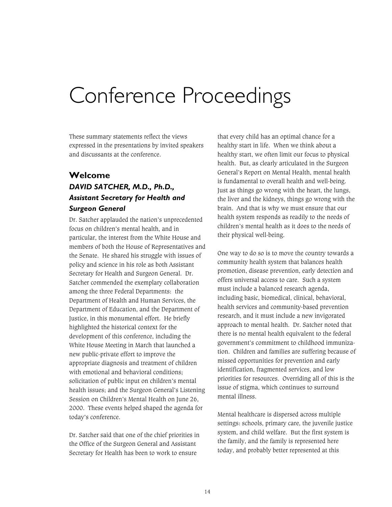# Conference Proceedings

These summary statements reflect the views expressed in the presentations by invited speakers and discussants at the conference.

# **Welcome**  *DAVID SATCHER, M.D., Ph.D., Assistant Secretary for Health and Surgeon General*

Dr. Satcher applauded the nation's unprecedented focus on children's mental health, and in particular, the interest from the White House and members of both the House of Representatives and the Senate. He shared his struggle with issues of policy and science in his role as both Assistant Secretary for Health and Surgeon General. Dr. Satcher commended the exemplary collaboration among the three Federal Departments: the Department of Health and Human Services, the Department of Education, and the Department of Justice, in this monumental effort. He briefly highlighted the historical context for the development of this conference, including the White House Meeting in March that launched a new public-private effort to improve the appropriate diagnosis and treatment of children with emotional and behavioral conditions; solicitation of public input on children's mental health issues; and the Surgeon General's Listening Session on Children's Mental Health on June 26, 2000. These events helped shaped the agenda for today's conference.

Dr. Satcher said that one of the chief priorities in the Office of the Surgeon General and Assistant Secretary for Health has been to work to ensure

that every child has an optimal chance for a healthy start in life. When we think about a healthy start, we often limit our focus to physical health. But, as clearly articulated in the Surgeon General's Report on Mental Health, mental health is fundamental to overall health and well-being. Just as things go wrong with the heart, the lungs, the liver and the kidneys, things go wrong with the brain. And that is why we must ensure that our health system responds as readily to the needs of children's mental health as it does to the needs of their physical well-being.

One way to do so is to move the country towards a community health system that balances health promotion, disease prevention, early detection and offers universal access to care. Such a system must include a balanced research agenda, including basic, biomedical, clinical, behavioral, health services and community-based prevention research, and it must include a new invigorated approach to mental health. Dr. Satcher noted that there is no mental health equivalent to the federal government's commitment to childhood immunization. Children and families are suffering because of missed opportunities for prevention and early identification, fragmented services, and low priorities for resources. Overriding all of this is the issue of stigma, which continues to surround mental illness.

Mental healthcare is dispersed across multiple settings: schools, primary care, the juvenile justice system, and child welfare. But the first system is the family, and the family is represented here today, and probably better represented at this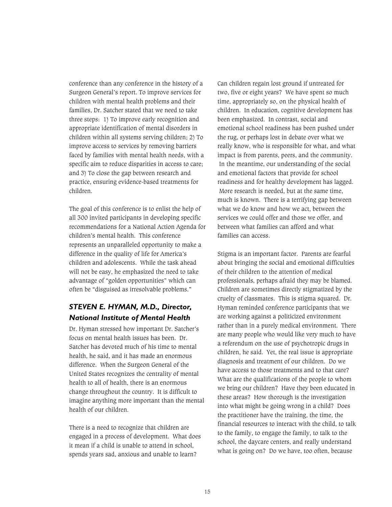conference than any conference in the history of a Surgeon General's report. To improve services for children with mental health problems and their families, Dr. Satcher stated that we need to take three steps: 1) To improve early recognition and appropriate identification of mental disorders in children within all systems serving children; 2) To improve access to services by removing barriers faced by families with mental health needs, with a specific aim to reduce disparities in access to care; and 3) To close the gap between research and practice, ensuring evidence-based treatments for children.

The goal of this conference is to enlist the help of all 300 invited participants in developing specific recommendations for a National Action Agenda for children's mental health. This conference represents an unparalleled opportunity to make a difference in the quality of life for America's children and adolescents. While the task ahead will not be easy, he emphasized the need to take advantage of "golden opportunities" which can often be "disguised as irresolvable problems."

# *STEVEN E. HYMAN, M.D., Director, National Institute of Mental Health*

Dr. Hyman stressed how important Dr. Satcher's focus on mental health issues has been. Dr. Satcher has devoted much of his time to mental health, he said, and it has made an enormous difference. When the Surgeon General of the United States recognizes the centrality of mental health to all of health, there is an enormous change throughout the country. It is difficult to imagine anything more important than the mental health of our children.

There is a need to recognize that children are engaged in a process of development. What does it mean if a child is unable to attend in school, spends years sad, anxious and unable to learn?

Can children regain lost ground if untreated for two, five or eight years? We have spent so much time, appropriately so, on the physical health of children. In education, cognitive development has been emphasized. In contrast, social and emotional school readiness has been pushed under the rug, or perhaps lost in debate over what we really know, who is responsible for what, and what impact is from parents, peers, and the community. In the meantime, our understanding of the social and emotional factors that provide for school readiness and for healthy development has lagged. More research is needed, but at the same time, much is known. There is a terrifying gap between what we do know and how we act, between the services we could offer and those we offer, and between what families can afford and what families can access.

Stigma is an important factor. Parents are fearful about bringing the social and emotional difficulties of their children to the attention of medical professionals, perhaps afraid they may be blamed. Children are sometimes directly stigmatized by the cruelty of classmates. This is stigma squared. Dr. Hyman reminded conference participants that we are working against a politicized environment rather than in a purely medical environment. There are many people who would like very much to have a referendum on the use of psychotropic drugs in children, he said. Yet, the real issue is appropriate diagnosis and treatment of our children. Do we have access to those treatments and to that care? What are the qualifications of the people to whom we bring our children? Have they been educated in these areas? How thorough is the investigation into what might be going wrong in a child? Does the practitioner have the training, the time, the financial resources to interact with the child, to talk to the family, to engage the family, to talk to the school, the daycare centers, and really understand what is going on? Do we have, too often, because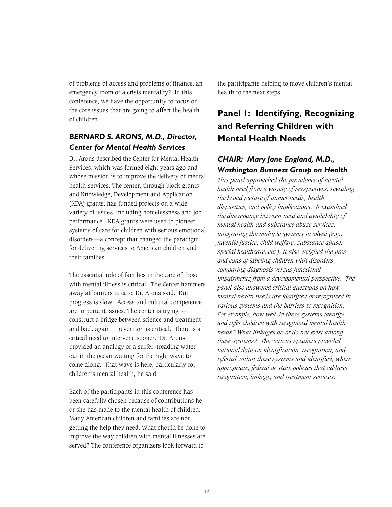of problems of access and problems of finance, an emergency room or a crisis mentality? In this conference, we have the opportunity to focus on the core issues that are going to affect the health of children.

# *BERNARD S. ARONS, M.D., Director, Center for Mental Health Services*

Dr. Arons described the Center for Mental Health Services, which was formed eight years ago and whose mission is to improve the delivery of mental health services. The center, through block grants and Knowledge, Development and Application (KDA) grants, has funded projects on a wide variety of issues, including homelessness and job performance. KDA grants were used to pioneer systems of care for children with serious emotional disorders—a concept that changed the paradigm for delivering services to American children and their families.

The essential role of families in the care of those with mental illness is critical. The Center hammers away at barriers to care, Dr. Arons said. But progress is slow. Access and cultural competence are important issues. The center is trying to construct a bridge between science and treatment and back again. Prevention is critical. There is a critical need to intervene sooner. Dr. Arons provided an analogy of a surfer, treading water out in the ocean waiting for the right wave to come along. That wave is here, particularly for children's mental health, he said.

Each of the participants in this conference has been carefully chosen because of contributions he or she has made to the mental health of children. Many American children and families are not getting the help they need. What should be done to improve the way children with mental illnesses are served? The conference organizers look forward to

the participants helping to move children's mental health to the next steps.

# **Panel 1: Identifying, Recognizing and Referring Children with Mental Health Needs**

# *CHAIR: Mary Jane England, M.D., Washington Business Group on Health*

*This panel approached the prevalence of mental health need from a variety of perspectives, revealing the broad picture of unmet needs, health disparities, and policy implications. It examined the discrepancy between need and availability of mental health and substance abuse services, integrating the multiple systems involved (e.g., juvenile justice, child welfare, substance abuse, special healthcare, etc.). It also weighed the pros and cons of labeling children with disorders, comparing diagnosis versus functional impairments from a developmental perspective. The panel also answered critical questions on how mental health needs are identified or recognized in various systems and the barriers to recognition. For example, how well do these systems identify and refer children with recognized mental health needs? What linkages do or do not exist among these systems? The various speakers provided national data on identification, recognition, and referral within these systems and identified, where appropriate, federal or state policies that address recognition, linkage, and treatment services.*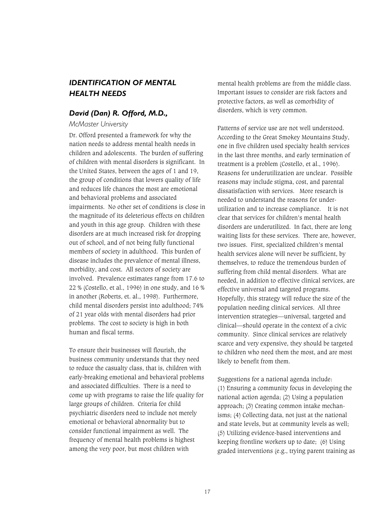# *IDENTIFICATION OF MENTAL HEALTH NEEDS*

## *David (Dan) R. Offord, M.D.,*

*McMaster University*

Dr. Offord presented a framework for why the nation needs to address mental health needs in children and adolescents. The burden of suffering of children with mental disorders is significant. In the United States, between the ages of 1 and 19, the group of conditions that lowers quality of life and reduces life chances the most are emotional and behavioral problems and associated impairments. No other set of conditions is close in the magnitude of its deleterious effects on children and youth in this age group. Children with these disorders are at much increased risk for dropping out of school, and of not being fully functional members of society in adulthood. This burden of disease includes the prevalence of mental illness, morbidity, and cost. All sectors of society are involved. Prevalence estimates range from 17.6 to 22 % (Costello, et al., 1996) in one study, and 16 % in another (Roberts, et. al., 1998). Furthermore, child mental disorders persist into adulthood; 74% of 21 year olds with mental disorders had prior problems. The cost to society is high in both human and fiscal terms.

To ensure their businesses will flourish, the business community understands that they need to reduce the casualty class, that is, children with early-breaking emotional and behavioral problems and associated difficulties. There is a need to come up with programs to raise the life quality for large groups of children. Criteria for child psychiatric disorders need to include not merely emotional or behavioral abnormality but to consider functional impairment as well. The frequency of mental health problems is highest among the very poor, but most children with

mental health problems are from the middle class. Important issues to consider are risk factors and protective factors, as well as comorbidity of disorders, which is very common.

Patterns of service use are not well understood. According to the Great Smokey Mountains Study, one in five children used specialty health services in the last three months, and early termination of treatment is a problem (Costello, et al., 1996). Reasons for underutilization are unclear. Possible reasons may include stigma, cost, and parental dissatisfaction with services. More research is needed to understand the reasons for underutilization and to increase compliance. It is not clear that services for children's mental health disorders are underutilized. In fact, there are long waiting lists for these services. There are, however, two issues. First, specialized children's mental health services alone will never be sufficient, by themselves, to reduce the tremendous burden of suffering from child mental disorders. What are needed, in addition to effective clinical services, are effective universal and targeted programs. Hopefully, this strategy will reduce the size of the population needing clinical services. All three intervention strategies—universal, targeted and clinical—should operate in the context of a civic community. Since clinical services are relatively scarce and very expensive, they should be targeted to children who need them the most, and are most likely to benefit from them.

Suggestions for a national agenda include: (1) Ensuring a community focus in developing the national action agenda; (2) Using a population approach; (3) Creating common intake mechanisms; (4) Collecting data, not just at the national and state levels, but at community levels as well; (5) Utilizing evidence-based interventions and keeping frontline workers up to date; (6) Using graded interventions (e.g., trying parent training as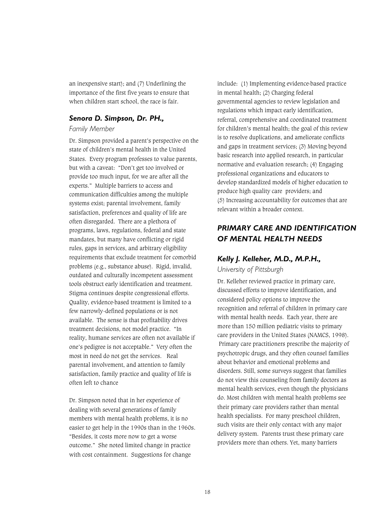an inexpensive start); and (7) Underlining the importance of the first five years to ensure that when children start school, the race is fair.

#### *Senora D. Simpson, Dr. PH.,*

#### *Family Member*

Dr. Simpson provided a parent's perspective on the state of children's mental health in the United States. Every program professes to value parents, but with a caveat: "Don't get too involved or provide too much input, for we are after all the experts." Multiple barriers to access and communication difficulties among the multiple systems exist; parental involvement, family satisfaction, preferences and quality of life are often disregarded. There are a plethora of programs, laws, regulations, federal and state mandates, but many have conflicting or rigid rules, gaps in services, and arbitrary eligibility requirements that exclude treatment for comorbid problems (e.g., substance abuse). Rigid, invalid, outdated and culturally incompetent assessment tools obstruct early identification and treatment. Stigma continues despite congressional efforts. Quality, evidence-based treatment is limited to a few narrowly-defined populations or is not available. The sense is that profitability drives treatment decisions, not model practice. "In reality, humane services are often not available if one's pedigree is not acceptable." Very often the most in need do not get the services. Real parental involvement, and attention to family satisfaction, family practice and quality of life is often left to chance

Dr. Simpson noted that in her experience of dealing with several generations of family members with mental health problems, it is no easier to get help in the 1990s than in the 1960s. "Besides, it costs more now to get a worse outcome." She noted limited change in practice with cost containment. Suggestions for change

include: (1) Implementing evidence-based practice in mental health; (2) Charging federal governmental agencies to review legislation and regulations which impact early identification, referral, comprehensive and coordinated treatment for children's mental health; the goal of this review is to resolve duplications, and ameliorate conflicts and gaps in treatment services; (3) Moving beyond basic research into applied research, in particular normative and evaluation research; (4) Engaging professional organizations and educators to develop standardized models of higher education to produce high quality care providers; and (5) Increasing accountability for outcomes that are relevant within a broader context.

# *PRIMARY CARE AND IDENTIFICATION OF MENTAL HEALTH NEEDS*

# *Kelly J. Kelleher, M.D., M.P.H.,*

*University of Pittsburgh*

Dr. Kelleher reviewed practice in primary care, discussed efforts to improve identification, and considered policy options to improve the recognition and referral of children in primary care with mental health needs. Each year, there are more than 150 million pediatric visits to primary care providers in the United States (NAMCS, 1998). Primary care practitioners prescribe the majority of psychotropic drugs, and they often counsel families about behavior and emotional problems and disorders. Still, some surveys suggest that families do not view this counseling from family doctors as mental health services, even though the physicians do. Most children with mental health problems see their primary care providers rather than mental health specialists. For many preschool children, such visits are their only contact with any major delivery system. Parents trust these primary care providers more than others. Yet, many barriers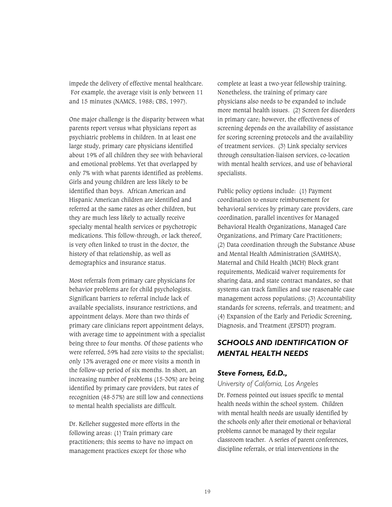impede the delivery of effective mental healthcare. For example, the average visit is only between 11 and 15 minutes (NAMCS, 1988; CBS, 1997).

One major challenge is the disparity between what parents report versus what physicians report as psychiatric problems in children. In at least one large study, primary care physicians identified about 19% of all children they see with behavioral and emotional problems. Yet that overlapped by only 7% with what parents identified as problems. Girls and young children are less likely to be identified than boys. African American and Hispanic American children are identified and referred at the same rates as other children, but they are much less likely to actually receive specialty mental health services or psychotropic medications. This follow-through, or lack thereof, is very often linked to trust in the doctor, the history of that relationship, as well as demographics and insurance status.

Most referrals from primary care physicians for behavior problems are for child psychologists. Significant barriers to referral include lack of available specialists, insurance restrictions, and appointment delays. More than two thirds of primary care clinicians report appointment delays, with average time to appointment with a specialist being three to four months. Of those patients who were referred, 59% had zero visits to the specialist; only 13% averaged one or more visits a month in the follow-up period of six months. In short, an increasing number of problems (15-30%) are being identified by primary care providers, but rates of recognition (48-57%) are still low and connections to mental health specialists are difficult.

Dr. Kelleher suggested more efforts in the following areas: (1) Train primary care practitioners; this seems to have no impact on management practices except for those who

complete at least a two-year fellowship training. Nonetheless, the training of primary care physicians also needs to be expanded to include more mental health issues. (2) Screen for disorders in primary care; however, the effectiveness of screening depends on the availability of assistance for scoring screening protocols and the availability of treatment services. (3) Link specialty services through consultation-liaison services, co-location with mental health services, and use of behavioral specialists.

Public policy options include: (1) Payment coordination to ensure reimbursement for behavioral services by primary care providers, care coordination, parallel incentives for Managed Behavioral Health Organizations, Managed Care Organizations, and Primary Care Practitioners; (2) Data coordination through the Substance Abuse and Mental Health Administration (SAMHSA), Maternal and Child Health (MCH) Block grant requirements, Medicaid waiver requirements for sharing data, and state contract mandates, so that systems can track families and use reasonable case management across populations; (3) Accountability standards for screens, referrals, and treatment; and (4) Expansion of the Early and Periodic Screening, Diagnosis, and Treatment (EPSDT) program.

# *SCHOOLS AND IDENTIFICATION OF MENTAL HEALTH NEEDS*

# *Steve Forness, Ed.D.,*

### *University of California, Los Angeles*

Dr. Forness pointed out issues specific to mental health needs within the school system. Children with mental health needs are usually identified by the schools only after their emotional or behavioral problems cannot be managed by their regular classroom teacher. A series of parent conferences, discipline referrals, or trial interventions in the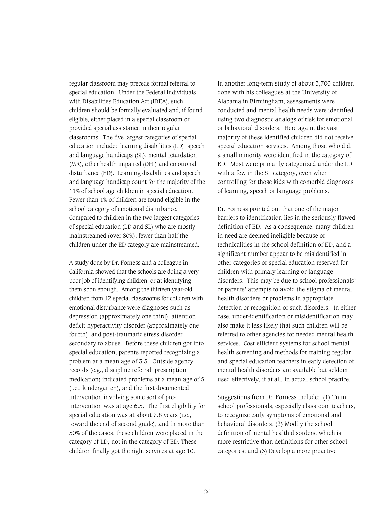regular classroom may precede formal referral to special education. Under the Federal Individuals with Disabilities Education Act (IDEA), such children should be formally evaluated and, if found eligible, either placed in a special classroom or provided special assistance in their regular classrooms. The five largest categories of special education include: learning disabilities (LD), speech and language handicaps (SL), mental retardation (MR), other health impaired (OHI) and emotional disturbance (ED). Learning disabilities and speech and language handicap count for the majority of the 11% of school age children in special education. Fewer than 1% of children are found eligible in the school category of emotional disturbance. Compared to children in the two largest categories of special education (LD and SL) who are mostly mainstreamed (over 80%), fewer than half the children under the ED category are mainstreamed.

A study done by Dr. Forness and a colleague in California showed that the schools are doing a very poor job of identifying children, or at identifying them soon enough. Among the thirteen year-old children from 12 special classrooms for children with emotional disturbance were diagnoses such as depression (approximately one third), attention deficit hyperactivity disorder (approximately one fourth), and post-traumatic stress disorder secondary to abuse. Before these children got into special education, parents reported recognizing a problem at a mean age of 3.5. Outside agency records (e.g., discipline referral, prescription medication) indicated problems at a mean age of 5 (i.e., kindergarten), and the first documented intervention involving some sort of preintervention was at age 6.5. The first eligibility for special education was at about 7.8 years (i.e., toward the end of second grade), and in more than 50% of the cases, these children were placed in the category of LD, not in the category of ED. These children finally got the right services at age 10.

In another long-term study of about 3,700 children done with his colleagues at the University of Alabama in Birmingham, assessments were conducted and mental health needs were identified using two diagnostic analogs of risk for emotional or behavioral disorders. Here again, the vast majority of these identified children did not receive special education services. Among those who did, a small minority were identified in the category of ED. Most were primarily categorized under the LD with a few in the SL category, even when controlling for those kids with comorbid diagnoses of learning, speech or language problems.

Dr. Forness pointed out that one of the major barriers to identification lies in the seriously flawed definition of ED. As a consequence, many children in need are deemed ineligible because of technicalities in the school definition of ED, and a significant number appear to be misidentified in other categories of special education reserved for children with primary learning or language disorders. This may be due to school professionals' or parents' attempts to avoid the stigma of mental health disorders or problems in appropriate detection or recognition of such disorders. In either case, under-identification or misidentification may also make it less likely that such children will be referred to other agencies for needed mental health services. Cost efficient systems for school mental health screening and methods for training regular and special education teachers in early detection of mental health disorders are available but seldom used effectively, if at all, in actual school practice.

Suggestions from Dr. Forness include: (1) Train school professionals, especially classroom teachers, to recognize early symptoms of emotional and behavioral disorders; (2) Modify the school definition of mental health disorders, which is more restrictive than definitions for other school categories; and (3) Develop a more proactive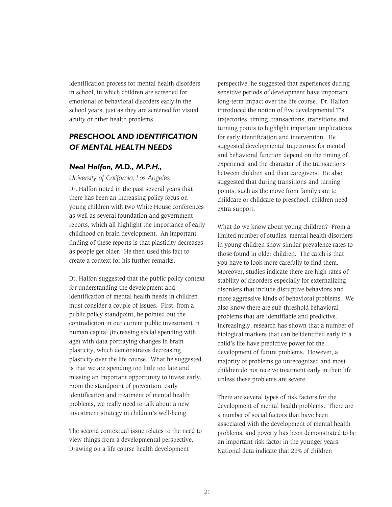identification process for mental health disorders in school, in which children are screened for emotional or behavioral disorders early in the school years, just as they are screened for visual acuity or other health problems.

# *PRESCHOOL AND IDENTIFICATION OF MENTAL HEALTH NEEDS*

# *Neal Halfon, M.D., M.P.H.,*

*University of California, Los Angeles* 

Dr. Halfon noted in the past several years that there has been an increasing policy focus on young children with two White House conferences as well as several foundation and government reports, which all highlight the importance of early childhood on brain development. An important finding of these reports is that plasticity decreases as people get older. He then used this fact to create a context for his further remarks.

Dr. Halfon suggested that the public policy context for understanding the development and identification of mental health needs in children must consider a couple of issues. First, from a public policy standpoint, he pointed out the contradiction in our current public investment in human capital (increasing social spending with age) with data portraying changes in brain plasticity, which demonstrates decreasing plasticity over the life course. What he suggested is that we are spending too little too late and missing an important opportunity to invest early. From the standpoint of prevention, early identification and treatment of mental health problems, we really need to talk about a new investment strategy in children's well-being.

The second contextual issue relates to the need to view things from a developmental perspective. Drawing on a life course health development

perspective, he suggested that experiences during sensitive periods of development have important long-term impact over the life course. Dr. Halfon introduced the notion of five developmental T's: trajectories, timing, transactions, transitions and turning points to highlight important implications for early identification and intervention. He suggested developmental trajectories for mental and behavioral function depend on the timing of experience and the character of the transactions between children and their caregivers. He also suggested that during transitions and turning points, such as the move from family care to childcare or childcare to preschool, children need extra support.

What do we know about young children? From a limited number of studies, mental health disorders in young children show similar prevalence rates to those found in older children. The catch is that you have to look more carefully to find them. Moreover, studies indicate there are high rates of stability of disorders especially for externalizing disorders that include disruptive behaviors and more aggressive kinds of behavioral problems. We also know there are sub-threshold behavioral problems that are identifiable and predictive. Increasingly, research has shown that a number of biological markers that can be identified early in a child's life have predictive power for the development of future problems. However, a majority of problems go unrecognized and most children do not receive treatment early in their life unless these problems are severe.

There are several types of risk factors for the development of mental health problems. There are a number of social factors that have been associated with the development of mental health problems, and poverty has been demonstrated to be an important risk factor in the younger years. National data indicate that 22% of children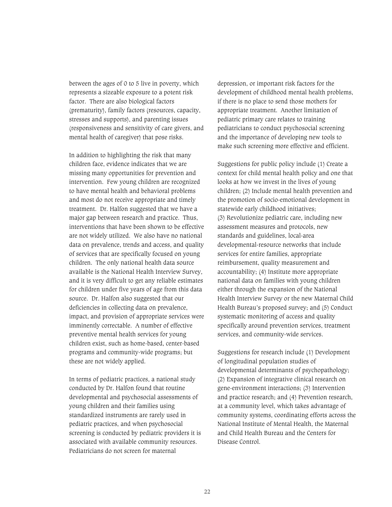between the ages of 0 to 5 live in poverty, which represents a sizeable exposure to a potent risk factor. There are also biological factors (prematurity), family factors (resources, capacity, stresses and supports), and parenting issues (responsiveness and sensitivity of care givers, and mental health of caregiver) that pose risks.

In addition to highlighting the risk that many children face, evidence indicates that we are missing many opportunities for prevention and intervention. Few young children are recognized to have mental health and behavioral problems and most do not receive appropriate and timely treatment. Dr. Halfon suggested that we have a major gap between research and practice. Thus, interventions that have been shown to be effective are not widely utilized. We also have no national data on prevalence, trends and access, and quality of services that are specifically focused on young children. The only national health data source available is the National Health Interview Survey, and it is very difficult to get any reliable estimates for children under five years of age from this data source. Dr. Halfon also suggested that our deficiencies in collecting data on prevalence, impact, and provision of appropriate services were imminently correctable. A number of effective preventive mental health services for young children exist, such as home-based, center-based programs and community-wide programs; but these are not widely applied.

In terms of pediatric practices, a national study conducted by Dr. Halfon found that routine developmental and psychosocial assessments of young children and their families using standardized instruments are rarely used in pediatric practices, and when psychosocial screening is conducted by pediatric providers it is associated with available community resources. Pediatricians do not screen for maternal

depression, or important risk factors for the development of childhood mental health problems, if there is no place to send those mothers for appropriate treatment. Another limitation of pediatric primary care relates to training pediatricians to conduct psychosocial screening and the importance of developing new tools to make such screening more effective and efficient.

Suggestions for public policy include (1) Create a context for child mental health policy and one that looks at how we invest in the lives of young children; (2) Include mental health prevention and the promotion of socio-emotional development in statewide early childhood initiatives; (3) Revolutionize pediatric care, including new assessment measures and protocols, new standards and guidelines, local-area developmental-resource networks that include services for entire families, appropriate reimbursement, quality measurement and accountability; (4) Institute more appropriate national data on families with young children either through the expansion of the National Health Interview Survey or the new Maternal Child Health Bureau's proposed survey; and (5) Conduct systematic monitoring of access and quality specifically around prevention services, treatment services, and community-wide services.

Suggestions for research include (1) Development of longitudinal population studies of developmental determinants of psychopathology; (2) Expansion of integrative clinical research on gene-environment interactions; (3) Intervention and practice research; and (4) Prevention research, at a community level, which takes advantage of community systems, coordinating efforts across the National Institute of Mental Health, the Maternal and Child Health Bureau and the Centers for Disease Control.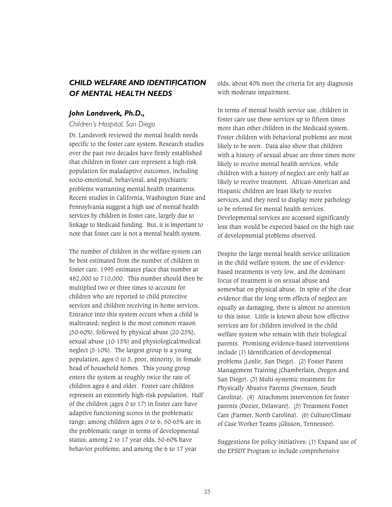# *CHILD WELFARE AND IDENTIFICATION OF MENTAL HEALTH NEEDS*

### *John Landsverk, Ph.D.,*

#### *Children's Hospital, San Diego*

Dr. Landsverk reviewed the mental health needs specific to the foster care system. Research studies over the past two decades have firmly established that children in foster care represent a high-risk population for maladaptive outcomes, including socio-emotional, behavioral, and psychiatric problems warranting mental health treatments. Recent studies in California, Washington State and Pennsylvania suggest a high use of mental health services by children in foster care, largely due to linkage to Medicaid funding. But, it is important to note that foster care is not a mental health system.

The number of children in the welfare system can be best estimated from the number of children in foster care. 1995 estimates place that number at 482,000 to 710,000. This number should then be multiplied two or three times to account for children who are reported to child protective services and children receiving in-home services. Entrance into this system occurs when a child is maltreated; neglect is the most common reason (50-60%), followed by physical abuse (20-25%), sexual abuse (10-15%) and physiological/medical neglect (5-10%). The largest group is a young population, ages 0 to 5, poor, minority, in female head of household homes. This young group enters the system at roughly twice the rate of children ages 6 and older. Foster care children represent an extremely high-risk population. Half of the children (ages 0 to 17) in foster care have adaptive functioning scores in the problematic range; among children ages 0 to 6, 50-65% are in the problematic range in terms of developmental status; among 2 to 17 year olds, 50-60% have behavior problems; and among the 6 to 17 year

olds, about 40% meet the criteria for any diagnosis with moderate impairment.

In terms of mental health service use, children in foster care use these services up to fifteen times more than other children in the Medicaid system. Foster children with behavioral problems are most likely to be seen. Data also show that children with a history of sexual abuse are three times more likely to receive mental health services, while children with a history of neglect are only half as likely to receive treatment. African-American and Hispanic children are least likely to receive services, and they need to display more pathology to be referred for mental health services. Developmental services are accessed significantly less than would be expected based on the high rate of developmental problems observed.

Despite the large mental health service utilization in the child welfare system, the use of evidencebased treatments is very low, and the dominant focus of treatment is on sexual abuse and somewhat on physical abuse. In spite of the clear evidence that the long-term effects of neglect are equally as damaging, there is almost no attention to this issue. Little is known about how effective services are for children involved in the child welfare system who remain with their biological parents. Promising evidence-based interventions include (1) Identification of developmental problems (Leslie, San Diego). (2) Foster Parent Management Training (Chamberlain, Oregon and San Diego). (3) Multi-systemic treatment for Physically Abusive Parents (Swenson, South Carolina). (4) Attachment intervention for foster parents (Dozier, Delaware). (5) Treatment Foster Care (Farmer, North Carolina). (6) Culture/Climate of Case Worker Teams (Glisson, Tennessee).

Suggestions for policy initiatives: (1) Expand use of the EPSDT Program to include comprehensive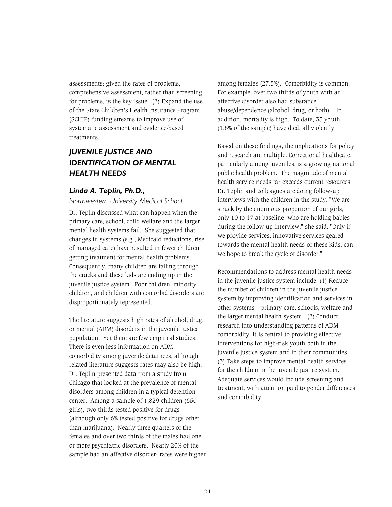assessments; given the rates of problems, comprehensive assessment, rather than screening for problems, is the key issue. (2) Expand the use of the State Children's Health Insurance Program (SCHIP) funding streams to improve use of systematic assessment and evidence-based treatments.

# *JUVENILE JUSTICE AND IDENTIFICATION OF MENTAL HEALTH NEEDS*

## *Linda A. Teplin, Ph.D.,*

#### *Northwestern University Medical School*

Dr. Teplin discussed what can happen when the primary care, school, child welfare and the larger mental health systems fail. She suggested that changes in systems (e.g., Medicaid reductions, rise of managed care) have resulted in fewer children getting treatment for mental health problems. Consequently, many children are falling through the cracks and these kids are ending up in the juvenile justice system. Poor children, minority children, and children with comorbid disorders are disproportionately represented.

The literature suggests high rates of alcohol, drug, or mental (ADM) disorders in the juvenile justice population. Yet there are few empirical studies. There is even less information on ADM comorbidity among juvenile detainees, although related literature suggests rates may also be high. Dr. Teplin presented data from a study from Chicago that looked at the prevalence of mental disorders among children in a typical detention center. Among a sample of 1,829 children (650 girls), two thirds tested positive for drugs (although only 6% tested positive for drugs other than marijuana). Nearly three quarters of the females and over two thirds of the males had one or more psychiatric disorders. Nearly 20% of the sample had an affective disorder; rates were higher among females (27.5%). Comorbidity is common. For example, over two thirds of youth with an affective disorder also had substance abuse/dependence (alcohol, drug, or both). In addition, mortality is high. To date, 33 youth (1.8% of the sample) have died, all violently.

Based on these findings, the implications for policy and research are multiple. Correctional healthcare, particularly among juveniles, is a growing national public health problem. The magnitude of mental health service needs far exceeds current resources. Dr. Teplin and colleagues are doing follow-up interviews with the children in the study. "We are struck by the enormous proportion of our girls, only 10 to 17 at baseline, who are holding babies during the follow-up interview," she said. "Only if we provide services, innovative services geared towards the mental health needs of these kids, can we hope to break the cycle of disorder."

Recommendations to address mental health needs in the juvenile justice system include: (1) Reduce the number of children in the juvenile justice system by improving identification and services in other systems—primary care, schools, welfare and the larger mental health system. (2) Conduct research into understanding patterns of ADM comorbidity. It is central to providing effective interventions for high-risk youth both in the juvenile justice system and in their communities. (3) Take steps to improve mental health services for the children in the juvenile justice system. Adequate services would include screening and treatment, with attention paid to gender differences and comorbidity.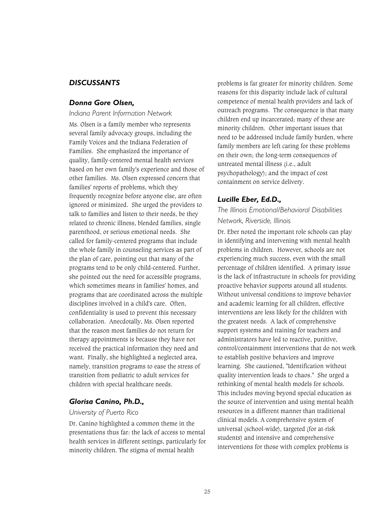# *DISCUSSANTS*

### *Donna Gore Olsen,*

#### *Indiana Parent Information Network*

Ms. Olsen is a family member who represents several family advocacy groups, including the Family Voices and the Indiana Federation of Families. She emphasized the importance of quality, family-centered mental health services based on her own family's experience and those of other families. Ms. Olsen expressed concern that families' reports of problems, which they frequently recognize before anyone else, are often ignored or minimized. She urged the providers to talk to families and listen to their needs, be they related to chronic illness, blended families, single parenthood, or serious emotional needs. She called for family-centered programs that include the whole family in counseling services as part of the plan of care, pointing out that many of the programs tend to be only child-centered. Further, she pointed out the need for accessible programs, which sometimes means in families' homes, and programs that are coordinated across the multiple disciplines involved in a child's care. Often, confidentiality is used to prevent this necessary collaboration. Anecdotally, Ms. Olsen reported that the reason most families do not return for therapy appointments is because they have not received the practical information they need and want. Finally, she highlighted a neglected area, namely, transition programs to ease the stress of transition from pediatric to adult services for children with special healthcare needs.

### *Glorisa Canino, Ph.D.,*

#### *University of Puerto Rico*

Dr. Canino highlighted a common theme in the presentations thus far: the lack of access to mental health services in different settings, particularly for minority children. The stigma of mental health

problems is far greater for minority children. Some reasons for this disparity include lack of cultural competence of mental health providers and lack of outreach programs. The consequence is that many children end up incarcerated; many of these are minority children. Other important issues that need to be addressed include family burden, where family members are left caring for these problems on their own; the long-term consequences of untreated mental illness (i.e., adult psychopathology); and the impact of cost containment on service delivery.

#### *Lucille Eber, Ed.D.,*

# *The Illinois Emotional/Behavioral Disabilities Network, Riverside, Illinois*

Dr. Eber noted the important role schools can play in identifying and intervening with mental health problems in children. However, schools are not experiencing much success, even with the small percentage of children identified. A primary issue is the lack of infrastructure in schools for providing proactive behavior supports around all students. Without universal conditions to improve behavior and academic learning for all children, effective interventions are less likely for the children with the greatest needs. A lack of comprehensive support systems and training for teachers and administrators have led to reactive, punitive, control/containment interventions that do not work to establish positive behaviors and improve learning. She cautioned, "Identification without quality intervention leads to chaos." She urged a rethinking of mental health models for schools. This includes moving beyond special education as the source of intervention and using mental health resources in a different manner than traditional clinical models. A comprehensive system of universal (school-wide), targeted (for at-risk students) and intensive and comprehensive interventions for those with complex problems is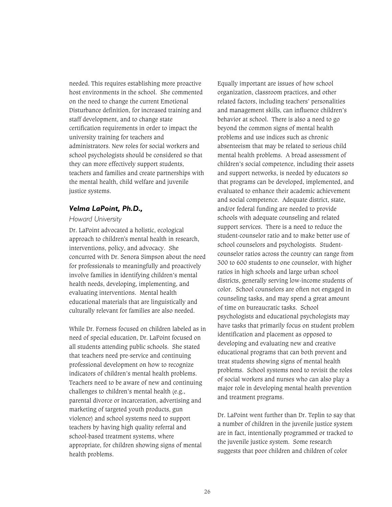needed. This requires establishing more proactive host environments in the school. She commented on the need to change the current Emotional Disturbance definition, for increased training and staff development, and to change state certification requirements in order to impact the university training for teachers and administrators. New roles for social workers and school psychologists should be considered so that they can more effectively support students, teachers and families and create partnerships with the mental health, child welfare and juvenile justice systems.

## *Velma LaPoint, Ph.D.,*

#### *Howard University*

Dr. LaPoint advocated a holistic, ecological approach to children's mental health in research, interventions, policy, and advocacy. She concurred with Dr. Senora Simpson about the need for professionals to meaningfully and proactively involve families in identifying children's mental health needs, developing, implementing, and evaluating interventions. Mental health educational materials that are linguistically and culturally relevant for families are also needed.

While Dr. Forness focused on children labeled as in need of special education, Dr. LaPoint focused on all students attending public schools. She stated that teachers need pre-service and continuing professional development on how to recognize indicators of children's mental health problems. Teachers need to be aware of new and continuing challenges to children's mental health (e.g., parental divorce or incarceration, advertising and marketing of targeted youth products, gun violence) and school systems need to support teachers by having high quality referral and school-based treatment systems, where appropriate, for children showing signs of mental health problems.

Equally important are issues of how school organization, classroom practices, and other related factors, including teachers' personalities and management skills, can influence children's behavior at school. There is also a need to go beyond the common signs of mental health problems and use indices such as chronic absenteeism that may be related to serious child mental health problems. A broad assessment of children's social competence, including their assets and support networks, is needed by educators so that programs can be developed, implemented, and evaluated to enhance their academic achievement and social competence. Adequate district, state, and/or federal funding are needed to provide schools with adequate counseling and related support services. There is a need to reduce the student-counselor ratio and to make better use of school counselors and psychologists. Studentcounselor ratios across the country can range from 300 to 600 students to one counselor, with higher ratios in high schools and large urban school districts, generally serving low-income students of color. School counselors are often not engaged in counseling tasks, and may spend a great amount of time on bureaucratic tasks. School psychologists and educational psychologists may have tasks that primarily focus on student problem identification and placement as opposed to developing and evaluating new and creative educational programs that can both prevent and treat students showing signs of mental health problems. School systems need to revisit the roles of social workers and nurses who can also play a major role in developing mental health prevention and treatment programs.

Dr. LaPoint went further than Dr. Teplin to say that a number of children in the juvenile justice system are in fact, intentionally programmed or tracked to the juvenile justice system. Some research suggests that poor children and children of color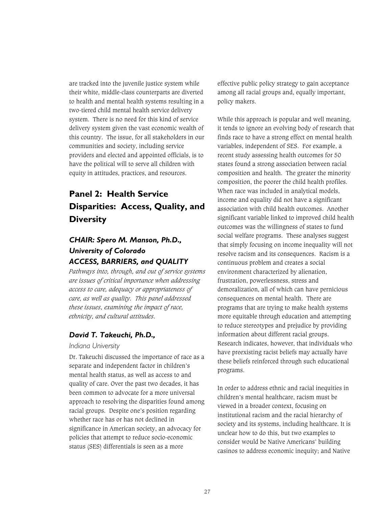are tracked into the juvenile justice system while their white, middle-class counterparts are diverted to health and mental health systems resulting in a two-tiered child mental health service delivery system. There is no need for this kind of service delivery system given the vast economic wealth of this country. The issue, for all stakeholders in our communities and society, including service providers and elected and appointed officials, is to have the political will to serve all children with equity in attitudes, practices, and resources.

# **Panel 2: Health Service Disparities: Access, Quality, and Diversity**

# *CHAIR: Spero M. Manson, Ph.D., University of Colorado ACCESS, BARRIERS, and QUALITY*

*Pathways into, through, and out of service systems are issues of critical importance when addressing access to care, adequacy or appropriateness of care, as well as quality. This panel addressed these issues, examining the impact of race, ethnicity, and cultural attitudes.* 

# *David T. Takeuchi, Ph.D.,*

### *Indiana University*

Dr. Takeuchi discussed the importance of race as a separate and independent factor in children's mental health status, as well as access to and quality of care. Over the past two decades, it has been common to advocate for a more universal approach to resolving the disparities found among racial groups. Despite one's position regarding whether race has or has not declined in significance in American society, an advocacy for policies that attempt to reduce socio-economic status (SES) differentials is seen as a more

effective public policy strategy to gain acceptance among all racial groups and, equally important, policy makers.

While this approach is popular and well meaning, it tends to ignore an evolving body of research that finds race to have a strong effect on mental health variables, independent of SES. For example, a recent study assessing health outcomes for 50 states found a strong association between racial composition and health. The greater the minority composition, the poorer the child health profiles. When race was included in analytical models, income and equality did not have a significant association with child health outcomes. Another significant variable linked to improved child health outcomes was the willingness of states to fund social welfare programs. These analyses suggest that simply focusing on income inequality will not resolve racism and its consequences. Racism is a continuous problem and creates a social environment characterized by alienation, frustration, powerlessness, stress and demoralization, all of which can have pernicious consequences on mental health. There are programs that are trying to make health systems more equitable through education and attempting to reduce stereotypes and prejudice by providing information about different racial groups. Research indicates, however, that individuals who have preexisting racist beliefs may actually have these beliefs reinforced through such educational programs.

In order to address ethnic and racial inequities in children's mental healthcare, racism must be viewed in a broader context, focusing on institutional racism and the racial hierarchy of society and its systems, including healthcare. It is unclear how to do this, but two examples to consider would be Native Americans' building casinos to address economic inequity; and Native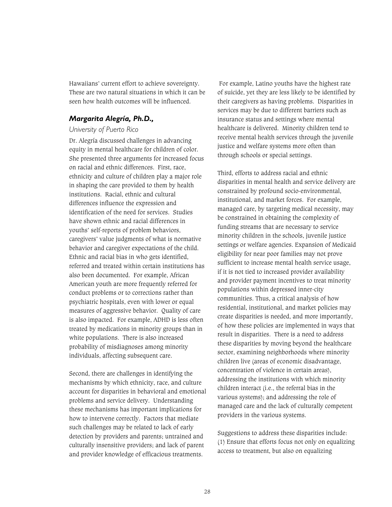Hawaiians' current effort to achieve sovereignty. These are two natural situations in which it can be seen how health outcomes will be influenced.

## *Margarita Alegría, Ph.D.,*

#### *University of Puerto Rico*

Dr. Alegría discussed challenges in advancing equity in mental healthcare for children of color. She presented three arguments for increased focus on racial and ethnic differences. First, race, ethnicity and culture of children play a major role in shaping the care provided to them by health institutions. Racial, ethnic and cultural differences influence the expression and identification of the need for services. Studies have shown ethnic and racial differences in youths' self-reports of problem behaviors, caregivers' value judgments of what is normative behavior and caregiver expectations of the child. Ethnic and racial bias in who gets identified, referred and treated within certain institutions has also been documented. For example, African American youth are more frequently referred for conduct problems or to corrections rather than psychiatric hospitals, even with lower or equal measures of aggressive behavior. Quality of care is also impacted. For example, ADHD is less often treated by medications in minority groups than in white populations. There is also increased probability of misdiagnoses among minority individuals, affecting subsequent care.

Second, there are challenges in identifying the mechanisms by which ethnicity, race, and culture account for disparities in behavioral and emotional problems and service delivery. Understanding these mechanisms has important implications for how to intervene correctly. Factors that mediate such challenges may be related to lack of early detection by providers and parents; untrained and culturally insensitive providers; and lack of parent and provider knowledge of efficacious treatments.

 For example, Latino youths have the highest rate of suicide, yet they are less likely to be identified by their caregivers as having problems. Disparities in services may be due to different barriers such as insurance status and settings where mental healthcare is delivered. Minority children tend to receive mental health services through the juvenile justice and welfare systems more often than through schools or special settings.

Third, efforts to address racial and ethnic disparities in mental health and service delivery are constrained by profound socio-environmental, institutional, and market forces. For example, managed care, by targeting medical necessity, may be constrained in obtaining the complexity of funding streams that are necessary to service minority children in the schools, juvenile justice settings or welfare agencies. Expansion of Medicaid eligibility for near poor families may not prove sufficient to increase mental health service usage, if it is not tied to increased provider availability and provider payment incentives to treat minority populations within depressed inner-city communities. Thus, a critical analysis of how residential, institutional, and market policies may create disparities is needed, and more importantly, of how these policies are implemented in ways that result in disparities. There is a need to address these disparities by moving beyond the healthcare sector, examining neighborhoods where minority children live (areas of economic disadvantage, concentration of violence in certain areas), addressing the institutions with which minority children interact (i.e., the referral bias in the various systems); and addressing the role of managed care and the lack of culturally competent providers in the various systems.

Suggestions to address these disparities include: (1) Ensure that efforts focus not only on equalizing access to treatment, but also on equalizing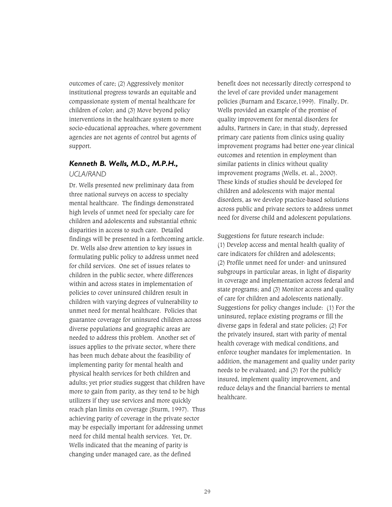outcomes of care; (2) Aggressively monitor institutional progress towards an equitable and compassionate system of mental healthcare for children of color; and (3) Move beyond policy interventions in the healthcare system to more socio-educational approaches, where government agencies are not agents of control but agents of support.

# *Kenneth B. Wells, M.D., M.P.H., UCLA/RAND*

Dr. Wells presented new preliminary data from three national surveys on access to specialty mental healthcare. The findings demonstrated high levels of unmet need for specialty care for children and adolescents and substantial ethnic disparities in access to such care. Detailed findings will be presented in a forthcoming article. Dr. Wells also drew attention to key issues in formulating public policy to address unmet need for child services. One set of issues relates to children in the public sector, where differences within and across states in implementation of policies to cover uninsured children result in children with varying degrees of vulnerability to unmet need for mental healthcare. Policies that guarantee coverage for uninsured children across diverse populations and geographic areas are needed to address this problem. Another set of issues applies to the private sector, where there has been much debate about the feasibility of implementing parity for mental health and physical health services for both children and adults; yet prior studies suggest that children have more to gain from parity, as they tend to be high utilizers if they use services and more quickly reach plan limits on coverage (Sturm, 1997). Thus achieving parity of coverage in the private sector may be especially important for addressing unmet need for child mental health services. Yet, Dr. Wells indicated that the meaning of parity is changing under managed care, as the defined

benefit does not necessarily directly correspond to the level of care provided under management policies (Burnam and Escarce,1999). Finally, Dr. Wells provided an example of the promise of quality improvement for mental disorders for adults, Partners in Care; in that study, depressed primary care patients from clinics using quality improvement programs had better one-year clinical outcomes and retention in employment than similar patients in clinics without quality improvement programs (Wells, et. al., 2000). These kinds of studies should be developed for children and adolescents with major mental disorders, as we develop practice-based solutions across public and private sectors to address unmet need for diverse child and adolescent populations.

Suggestions for future research include: (1) Develop access and mental health quality of care indicators for children and adolescents; (2) Profile unmet need for under- and uninsured subgroups in particular areas, in light of disparity in coverage and implementation across federal and state programs; and (3) Monitor access and quality of care for children and adolescents nationally. Suggestions for policy changes include: (1) For the uninsured, replace existing programs or fill the diverse gaps in federal and state policies; (2) For the privately insured, start with parity of mental health coverage with medical conditions, and enforce tougher mandates for implementation. In addition, the management and quality under parity needs to be evaluated; and (3) For the publicly insured, implement quality improvement, and reduce delays and the financial barriers to mental healthcare.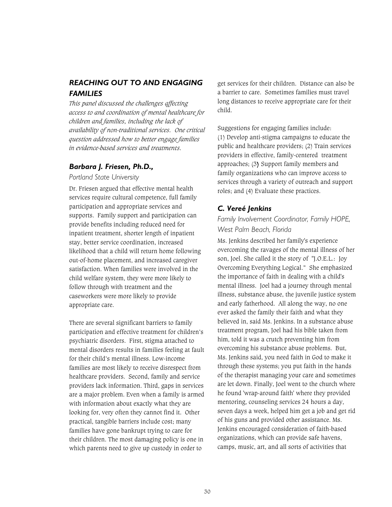# *REACHING OUT TO AND ENGAGING FAMILIES*

*This panel discussed the challenges affecting access to and coordination of mental healthcare for children and families, including the lack of availability of non-traditional services. One critical question addressed how to better engage families in evidence-based services and treatments.* 

## *Barbara J. Friesen, Ph.D.,*

#### *Portland State University*

Dr. Friesen argued that effective mental health services require cultural competence, full family participation and appropriate services and supports. Family support and participation can provide benefits including reduced need for inpatient treatment, shorter length of inpatient stay, better service coordination, increased likelihood that a child will return home following out-of-home placement, and increased caregiver satisfaction. When families were involved in the child welfare system, they were more likely to follow through with treatment and the caseworkers were more likely to provide appropriate care.

There are several significant barriers to family participation and effective treatment for children's psychiatric disorders. First, stigma attached to mental disorders results in families feeling at fault for their child's mental illness. Low-income families are most likely to receive disrespect from healthcare providers. Second, family and service providers lack information. Third, gaps in services are a major problem. Even when a family is armed with information about exactly what they are looking for, very often they cannot find it. Other practical, tangible barriers include cost; many families have gone bankrupt trying to care for their children. The most damaging policy is one in which parents need to give up custody in order to

get services for their children. Distance can also be a barrier to care. Sometimes families must travel long distances to receive appropriate care for their child.

Suggestions for engaging families include: (1) Develop anti-stigma campaigns to educate the public and healthcare providers; (2) Train services providers in effective, family-centered treatment approaches; (3) Support family members and family organizations who can improve access to services through a variety of outreach and support roles; and (4) Evaluate these practices.

# *C. Vereé Jenkins*

# *Family Involvement Coordinator, Family HOPE, West Palm Beach, Florida*

Ms. Jenkins described her family's experience overcoming the ravages of the mental illness of her son, Joel. She called it the story of "J.O.E.L.: Joy Overcoming Everything Logical." She emphasized the importance of faith in dealing with a child's mental illness. Joel had a journey through mental illness, substance abuse, the juvenile justice system and early fatherhood. All along the way, no one ever asked the family their faith and what they believed in, said Ms. Jenkins. In a substance abuse treatment program, Joel had his bible taken from him, told it was a crutch preventing him from overcoming his substance abuse problems. But, Ms. Jenkins said, you need faith in God to make it through these systems; you put faith in the hands of the therapist managing your care and sometimes are let down. Finally, Joel went to the church where he found 'wrap-around faith' where they provided mentoring, counseling services 24 hours a day, seven days a week, helped him get a job and get rid of his guns and provided other assistance. Ms. Jenkins encouraged consideration of faith-based organizations, which can provide safe havens, camps, music, art, and all sorts of activities that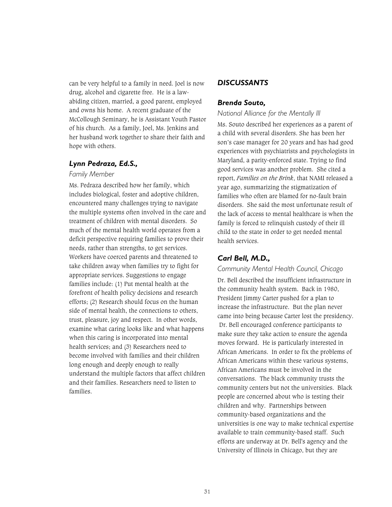can be very helpful to a family in need. Joel is now drug, alcohol and cigarette free. He is a lawabiding citizen, married, a good parent, employed and owns his home. A recent graduate of the McCollough Seminary, he is Assistant Youth Pastor of his church. As a family, Joel, Ms. Jenkins and her husband work together to share their faith and hope with others.

# *Lynn Pedraza, Ed.S.,*

#### *Family Member*

Ms. Pedraza described how her family, which includes biological, foster and adoptive children, encountered many challenges trying to navigate the multiple systems often involved in the care and treatment of children with mental disorders. So much of the mental health world operates from a deficit perspective requiring families to prove their needs, rather than strengths, to get services. Workers have coerced parents and threatened to take children away when families try to fight for appropriate services. Suggestions to engage families include: (1) Put mental health at the forefront of health policy decisions and research efforts; (2) Research should focus on the human side of mental health, the connections to others, trust, pleasure, joy and respect. In other words, examine what caring looks like and what happens when this caring is incorporated into mental health services; and (3) Researchers need to become involved with families and their children long enough and deeply enough to really understand the multiple factors that affect children and their families. Researchers need to listen to families.

## *DISCUSSANTS*

#### *Brenda Souto,*

#### *National Alliance for the Mentally Ill*

Ms. Souto described her experiences as a parent of a child with several disorders. She has been her son's case manager for 20 years and has had good experiences with psychiatrists and psychologists in Maryland, a parity-enforced state. Trying to find good services was another problem. She cited a report, *Families on the Brink*, that NAMI released a year ago, summarizing the stigmatization of families who often are blamed for no-fault brain disorders. She said the most unfortunate result of the lack of access to mental healthcare is when the family is forced to relinquish custody of their ill child to the state in order to get needed mental health services.

## *Carl Bell, M.D.,*

#### *Community Mental Health Council, Chicago*

Dr. Bell described the insufficient infrastructure in the community health system. Back in 1980, President Jimmy Carter pushed for a plan to increase the infrastructure. But the plan never came into being because Carter lost the presidency. Dr. Bell encouraged conference participants to make sure they take action to ensure the agenda moves forward. He is particularly interested in African Americans. In order to fix the problems of African Americans within these various systems, African Americans must be involved in the conversations. The black community trusts the community centers but not the universities. Black people are concerned about who is testing their children and why. Partnerships between community-based organizations and the universities is one way to make technical expertise available to train community-based staff. Such efforts are underway at Dr. Bell's agency and the University of Illinois in Chicago, but they are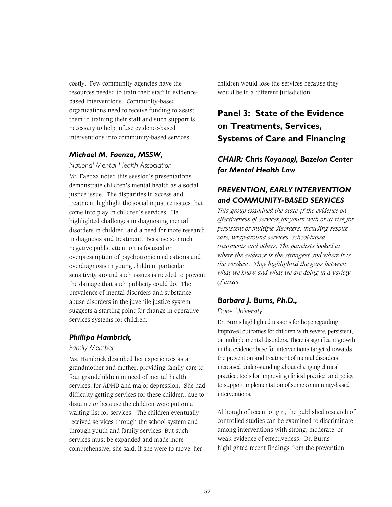costly. Few community agencies have the resources needed to train their staff in evidencebased interventions. Community-based organizations need to receive funding to assist them in training their staff and such support is necessary to help infuse evidence-based interventions into community-based services.

# *Michael M. Faenza, MSSW,*

*National Mental Health Association* 

Mr. Faenza noted this session's presentations demonstrate children's mental health as a social justice issue. The disparities in access and treatment highlight the social injustice issues that come into play in children's services. He highlighted challenges in diagnosing mental disorders in children, and a need for more research in diagnosis and treatment. Because so much negative public attention is focused on overprescription of psychotropic medications and overdiagnosis in young children, particular sensitivity around such issues is needed to prevent the damage that such publicity could do. The prevalence of mental disorders and substance abuse disorders in the juvenile justice system suggests a starting point for change in operative services systems for children.

### *Phillipa Hambrick,*

#### *Family Member*

Ms. Hambrick described her experiences as a grandmother and mother, providing family care to four grandchildren in need of mental health services, for ADHD and major depression. She had difficulty getting services for these children, due to distance or because the children were put on a waiting list for services. The children eventually received services through the school system and through youth and family services. But such services must be expanded and made more comprehensive, she said. If she were to move, her

children would lose the services because they would be in a different jurisdiction.

# **Panel 3: State of the Evidence on Treatments, Services, Systems of Care and Financing**

*CHAIR: Chris Koyanagi, Bazelon Center for Mental Health Law* 

# *PREVENTION, EARLY INTERVENTION and COMMUNITY-BASED SERVICES*

*This group examined the state of the evidence on effectiveness of services for youth with or at risk for persistent or multiple disorders, including respite care, wrap-around services, school-based treatments and others. The panelists looked at where the evidence is the strongest and where it is the weakest. They highlighted the gaps between what we know and what we are doing in a variety of areas.* 

### *Barbara J. Burns, Ph.D.,*

#### *Duke University*

Dr. Burns highlighted reasons for hope regarding improved outcomes for children with severe, persistent, or multiple mental disorders. There is significant growth in the evidence base for interventions targeted towards the prevention and treatment of mental disorders; increased under-standing about changing clinical practice; tools for improving clinical practice; and policy to support implementation of some community-based interventions.

Although of recent origin, the published research of controlled studies can be examined to discriminate among interventions with strong, moderate, or weak evidence of effectiveness. Dr. Burns highlighted recent findings from the prevention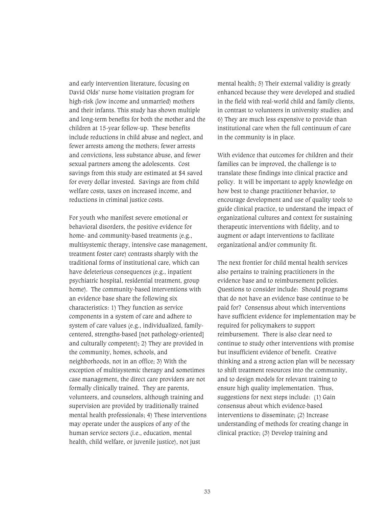and early intervention literature, focusing on David Olds' nurse home visitation program for high-risk (low income and unmarried) mothers and their infants. This study has shown multiple and long-term benefits for both the mother and the children at 15-year follow-up. These benefits include reductions in child abuse and neglect, and fewer arrests among the mothers; fewer arrests and convictions, less substance abuse, and fewer sexual partners among the adolescents. Cost savings from this study are estimated at \$4 saved for every dollar invested. Savings are from child welfare costs, taxes on increased income, and reductions in criminal justice costs.

For youth who manifest severe emotional or behavioral disorders, the positive evidence for home- and community-based treatments (e.g., multisystemic therapy, intensive case management, treatment foster care) contrasts sharply with the traditional forms of institutional care, which can have deleterious consequences (e.g., inpatient psychiatric hospital, residential treatment, group home). The community-based interventions with an evidence base share the following six characteristics: 1) They function as service components in a system of care and adhere to system of care values (e.g., individualized, familycentered, strengths-based [not pathology-oriented] and culturally competent); 2) They are provided in the community, homes, schools, and neighborhoods, not in an office; 3) With the exception of multisystemic therapy and sometimes case management, the direct care providers are not formally clinically trained. They are parents, volunteers, and counselors, although training and supervision are provided by traditionally trained mental health professionals; 4) These interventions may operate under the auspices of any of the human service sectors (i.e., education, mental health, child welfare, or juvenile justice), not just

mental health; 5) Their external validity is greatly enhanced because they were developed and studied in the field with real-world child and family clients, in contrast to volunteers in university studies; and 6) They are much less expensive to provide than institutional care when the full continuum of care in the community is in place.

With evidence that outcomes for children and their families can be improved, the challenge is to translate these findings into clinical practice and policy. It will be important to apply knowledge on how best to change practitioner behavior, to encourage development and use of quality tools to guide clinical practice, to understand the impact of organizational cultures and context for sustaining therapeutic interventions with fidelity, and to augment or adapt interventions to facilitate organizational and/or community fit.

The next frontier for child mental health services also pertains to training practitioners in the evidence base and to reimbursement policies. Questions to consider include: Should programs that do not have an evidence base continue to be paid for? Consensus about which interventions have sufficient evidence for implementation may be required for policymakers to support reimbursement. There is also clear need to continue to study other interventions with promise but insufficient evidence of benefit. Creative thinking and a strong action plan will be necessary to shift treatment resources into the community, and to design models for relevant training to ensure high quality implementation. Thus, suggestions for next steps include: (1) Gain consensus about which evidence-based interventions to disseminate; (2) Increase understanding of methods for creating change in clinical practice; (3) Develop training and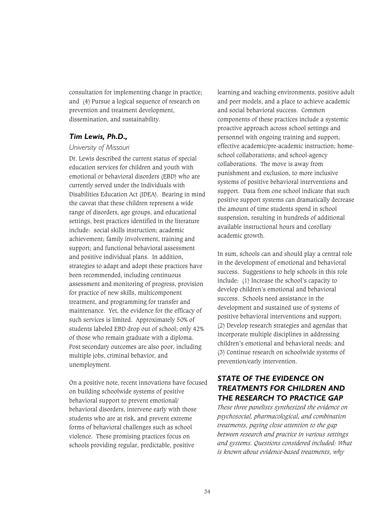consultation for implementing change in practice; and (4) Pursue a logical sequence of research on prevention and treatment development, dissemination, and sustainability.

## *Tim Lewis, Ph.D.,*

## *University of Missouri*

Dr. Lewis described the current status of special education services for children and youth with emotional or behavioral disorders (EBD) who are currently served under the Individuals with Disabilities Education Act (IDEA). Bearing in mind the caveat that these children represent a wide range of disorders, age groups, and educational settings, best practices identified in the literature include: social skills instruction; academic achievement; family involvement, training and support; and functional behavioral assessment and positive individual plans. In addition, strategies to adapt and adopt these practices have been recommended, including continuous assessment and monitoring of progress, provision for practice of new skills, multicomponent treatment, and programming for transfer and maintenance. Yet, the evidence for the efficacy of such services is limited. Approximately 50% of students labeled EBD drop out of school; only 42% of those who remain graduate with a diploma. Post secondary outcomes are also poor, including multiple jobs, criminal behavior, and unemployment.

On a positive note, recent innovations have focused on building schoolwide systems of positive behavioral support to prevent emotional/ behavioral disorders, intervene early with those students who are at risk, and prevent extreme forms of behavioral challenges such as school violence. These promising practices focus on schools providing regular, predictable, positive

learning and teaching environments, positive adult and peer models, and a place to achieve academic and social behavioral success. Common components of these practices include a systemic proactive approach across school settings and personnel with ongoing training and support; effective academic/pre-academic instruction; homeschool collaborations; and school-agency collaborations. The move is away from punishment and exclusion, to more inclusive systems of positive behavioral interventions and support. Data from one school indicate that such positive support systems can dramatically decrease the amount of time students spend in school suspension, resulting in hundreds of additional available instructional hours and corollary academic growth.

In sum, schools can and should play a central role in the development of emotional and behavioral success. Suggestions to help schools in this role include: (1) Increase the school's capacity to develop children's emotional and behavioral success. Schools need assistance in the development and sustained use of systems of positive behavioral interventions and support; (2) Develop research strategies and agendas that incorporate multiple disciplines in addressing children's emotional and behavioral needs; and (3) Continue research on schoolwide systems of prevention/early intervention.

# *STATE OF THE EVIDENCE ON TREATMENTS FOR CHILDREN AND THE RESEARCH TO PRACTICE GAP*

*These three panelists synthesized the evidence on psychosocial, pharmacological, and combination treatments, paying close attention to the gap between research and practice in various settings and systems. Questions considered included: What is known about evidence-based treatments, why*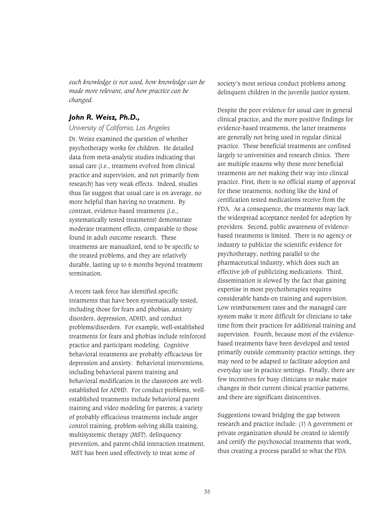*such knowledge is not used, how knowledge can be made more relevant, and how practice can be changed.*

### *John R. Weisz, Ph.D.,*

*University of California, Los Angeles* 

Dr. Weisz examined the question of whether psychotherapy works for children. He detailed data from meta-analytic studies indicating that usual care (i.e., treatment evolved from clinical practice and supervision, and not primarily from research) has very weak effects. Indeed, studies thus far suggest that usual care is on average, no more helpful than having no treatment. By contrast, evidence-based treatments (i.e., systematically tested treatments) demonstrate moderate treatment effects, comparable to those found in adult outcome research. These treatments are manualized, tend to be specific to the treated problems, and they are relatively durable, lasting up to 6 months beyond treatment termination.

A recent task force has identified specific treatments that have been systematically tested, including those for fears and phobias, anxiety disorders, depression, ADHD, and conduct problems/disorders. For example, well-established treatments for fears and phobias include reinforced practice and participant modeling. Cognitive behavioral treatments are probably efficacious for depression and anxiety. Behavioral interventions, including behavioral parent training and behavioral modification in the classroom are wellestablished for ADHD. For conduct problems, wellestablished treatments include behavioral parent training and video modeling for parents; a variety of probably efficacious treatments include anger control training, problem-solving skills training, multisystemic therapy (MST), delinquency prevention, and parent-child interaction treatment. MST has been used effectively to treat some of

society's most serious conduct problems among delinquent children in the juvenile justice system.

Despite the poor evidence for usual care in general clinical practice, and the more positive findings for evidence-based treatments, the latter treatments are generally not being used in regular clinical practice. These beneficial treatments are confined largely to universities and research clinics. There are multiple reasons why these more beneficial treatments are not making their way into clinical practice. First, there is no official stamp of approval for these treatments, nothing like the kind of certification tested medications receive from the FDA. As a consequence, the treatments may lack the widespread acceptance needed for adoption by providers. Second, public awareness of evidencebased treatments is limited. There is no agency or industry to publicize the scientific evidence for psychotherapy, nothing parallel to the pharmaceutical industry, which does such an effective job of publicizing medications. Third, dissemination is slowed by the fact that gaining expertise in most psychotherapies requires considerable hands-on training and supervision. Low reimbursement rates and the managed care system make it more difficult for clinicians to take time from their practices for additional training and supervision. Fourth, because most of the evidencebased treatments have been developed and tested primarily outside community practice settings, they may need to be adapted to facilitate adoption and everyday use in practice settings. Finally, there are few incentives for busy clinicians to make major changes in their current clinical practice patterns, and there are significant disincentives.

Suggestions toward bridging the gap between research and practice include: (1) A government or private organization should be created to identify and certify the psychosocial treatments that work, thus creating a process parallel to what the FDA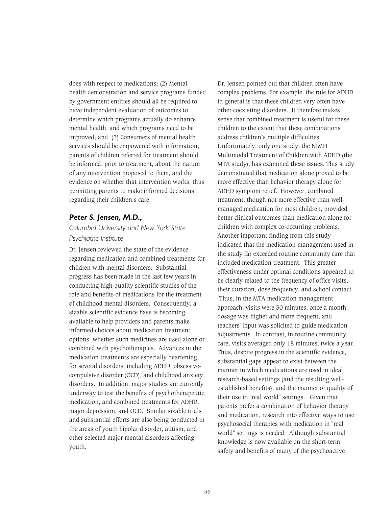does with respect to medications; (2) Mental health demonstration and service programs funded by government entities should all be required to have independent evaluation of outcomes to determine which programs actually do enhance mental health, and which programs need to be improved; and (3) Consumers of mental health services should be empowered with information; parents of children referred for treatment should be informed, prior to treatment, about the nature of any intervention proposed to them, and the evidence on whether that intervention works, thus permitting parents to make informed decisions regarding their children's care.

#### *Peter S. Jensen, M.D.,*

# *Columbia University and New York State Psychiatric Institute*

Dr. Jensen reviewed the state of the evidence regarding medication and combined treatments for children with mental disorders. Substantial progress has been made in the last few years in conducting high-quality scientific studies of the role and benefits of medications for the treatment of childhood mental disorders. Consequently, a sizable scientific evidence base is becoming available to help providers and parents make informed choices about medication treatment options, whether such medicines are used alone or combined with psychotherapies. Advances in the medication treatments are especially heartening for several disorders, including ADHD, obsessivecompulsive disorder (OCD), and childhood anxiety disorders. In addition, major studies are currently underway to test the benefits of psychotherapeutic, medication, and combined treatments for ADHD, major depression, and OCD. Similar sizable trials and substantial efforts are also being conducted in the areas of youth bipolar disorder, autism, and other selected major mental disorders affecting youth.

Dr. Jensen pointed out that children often have complex problems. For example, the rule for ADHD in general is that these children very often have other coexisting disorders. It therefore makes sense that combined treatment is useful for these children to the extent that these combinations address children's multiple difficulties. Unfortunately, only one study, the NIMH Multimodal Treatment of Children with ADHD (the MTA study), has examined these issues. This study demonstrated that medication alone proved to be more effective than behavior therapy alone for ADHD symptom relief. However, combined treatment, though not more effective than wellmanaged medication for most children, provided better clinical outcomes than medication alone for children with complex co-occurring problems. Another important finding from this study indicated that the medication management used in the study far exceeded routine community care that included medication treatment. This greater effectiveness under optimal conditions appeared to be clearly related to the frequency of office visits, their duration, dose frequency, and school contact. Thus, in the MTA medication management approach, visits were 30 minutes, once a month, dosage was higher and more frequent, and teachers' input was solicited to guide medication adjustments. In contrast, in routine community care, visits averaged only 18 minutes, twice a year. Thus, despite progress in the scientific evidence, substantial gaps appear to exist between the manner in which medications are used in ideal research-based settings (and the resulting wellestablished benefits), and the manner or quality of their use in "real world" settings. Given that parents prefer a combination of behavior therapy and medication, research into effective ways to use psychosocial therapies with medication in "real world" settings is needed. Although substantial knowledge is now available on the short-term safety and benefits of many of the psychoactive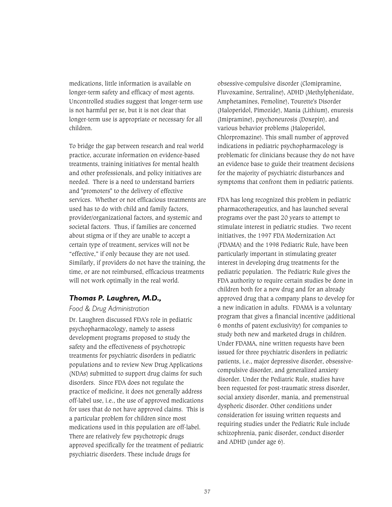medications, little information is available on longer-term safety and efficacy of most agents. Uncontrolled studies suggest that longer-term use is not harmful per se, but it is not clear that longer-term use is appropriate or necessary for all children.

To bridge the gap between research and real world practice, accurate information on evidence-based treatments, training initiatives for mental health and other professionals, and policy initiatives are needed. There is a need to understand barriers and "promoters" to the delivery of effective services. Whether or not efficacious treatments are used has to do with child and family factors, provider/organizational factors, and systemic and societal factors. Thus, if families are concerned about stigma or if they are unable to accept a certain type of treatment, services will not be "effective," if only because they are not used. Similarly, if providers do not have the training, the time, or are not reimbursed, efficacious treatments will not work optimally in the real world.

### *Thomas P. Laughren, M.D.,*

#### *Food & Drug Administration*

Dr. Laughren discussed FDA's role in pediatric psychopharmacology, namely to assess development programs proposed to study the safety and the effectiveness of psychotropic treatments for psychiatric disorders in pediatric populations and to review New Drug Applications (NDAs) submitted to support drug claims for such disorders. Since FDA does not regulate the practice of medicine, it does not generally address off-label use, i.e., the use of approved medications for uses that do not have approved claims. This is a particular problem for children since most medications used in this population are off-label. There are relatively few psychotropic drugs approved specifically for the treatment of pediatric psychiatric disorders. These include drugs for

obsessive-compulsive disorder (Clomipramine, Fluvoxamine, Sertraline), ADHD (Methylphenidate, Amphetamines, Pemoline), Tourette's Disorder (Haloperidol, Pimozide), Mania (Lithium), enuresis (Imipramine), psychoneurosis (Doxepin), and various behavior problems (Haloperidol, Chlorpromazine). This small number of approved indications in pediatric psychopharmacology is problematic for clinicians because they do not have an evidence base to guide their treatment decisions for the majority of psychiatric disturbances and symptoms that confront them in pediatric patients.

FDA has long recognized this problem in pediatric pharmacotherapeutics, and has launched several programs over the past 20 years to attempt to stimulate interest in pediatric studies. Two recent initiatives, the 1997 FDA Modernization Act (FDAMA) and the 1998 Pediatric Rule, have been particularly important in stimulating greater interest in developing drug treatments for the pediatric population. The Pediatric Rule gives the FDA authority to require certain studies be done in children both for a new drug and for an already approved drug that a company plans to develop for a new indication in adults. FDAMA is a voluntary program that gives a financial incentive (additional 6 months of patent exclusivity) for companies to study both new and marketed drugs in children. Under FDAMA, nine written requests have been issued for three psychiatric disorders in pediatric patients, i.e., major depressive disorder, obsessivecompulsive disorder, and generalized anxiety disorder. Under the Pediatric Rule, studies have been requested for post-traumatic stress disorder, social anxiety disorder, mania, and premenstrual dysphoric disorder. Other conditions under consideration for issuing written requests and requiring studies under the Pediatric Rule include schizophrenia, panic disorder, conduct disorder and ADHD (under age 6).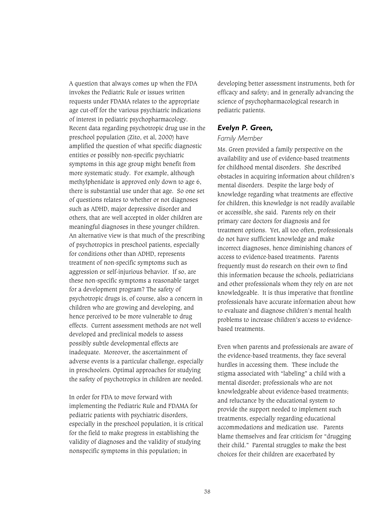A question that always comes up when the FDA invokes the Pediatric Rule or issues written requests under FDAMA relates to the appropriate age cut-off for the various psychiatric indications of interest in pediatric psychopharmacology. Recent data regarding psychotropic drug use in the preschool population (Zito, et al, 2000) have amplified the question of what specific diagnostic entities or possibly non-specific psychiatric symptoms in this age group might benefit from more systematic study. For example, although methylphenidate is approved only down to age 6, there is substantial use under that age. So one set of questions relates to whether or not diagnoses such as ADHD, major depressive disorder and others, that are well accepted in older children are meaningful diagnoses in these younger children. An alternative view is that much of the prescribing of psychotropics in preschool patients, especially for conditions other than ADHD, represents treatment of non-specific symptoms such as aggression or self-injurious behavior. If so, are these non-specific symptoms a reasonable target for a development program? The safety of psychotropic drugs is, of course, also a concern in children who are growing and developing, and hence perceived to be more vulnerable to drug effects. Current assessment methods are not well developed and preclinical models to assess possibly subtle developmental effects are inadequate. Moreover, the ascertainment of adverse events is a particular challenge, especially in preschoolers. Optimal approaches for studying the safety of psychotropics in children are needed.

In order for FDA to move forward with implementing the Pediatric Rule and FDAMA for pediatric patients with psychiatric disorders, especially in the preschool population, it is critical for the field to make progress in establishing the validity of diagnoses and the validity of studying nonspecific symptoms in this population; in

developing better assessment instruments, both for efficacy and safety; and in generally advancing the science of psychopharmacological research in pediatric patients.

#### *Evelyn P. Green,*

#### *Family Member*

Ms. Green provided a family perspective on the availability and use of evidence-based treatments for childhood mental disorders. She described obstacles in acquiring information about children's mental disorders. Despite the large body of knowledge regarding what treatments are effective for children, this knowledge is not readily available or accessible, she said. Parents rely on their primary care doctors for diagnosis and for treatment options. Yet, all too often, professionals do not have sufficient knowledge and make incorrect diagnoses, hence diminishing chances of access to evidence-based treatments. Parents frequently must do research on their own to find this information because the schools, pediatricians and other professionals whom they rely on are not knowledgeable. It is thus imperative that frontline professionals have accurate information about how to evaluate and diagnose children's mental health problems to increase children's access to evidencebased treatments.

Even when parents and professionals are aware of the evidence-based treatments, they face several hurdles in accessing them. These include the stigma associated with "labeling" a child with a mental disorder; professionals who are not knowledgeable about evidence-based treatments; and reluctance by the educational system to provide the support needed to implement such treatments, especially regarding educational accommodations and medication use. Parents blame themselves and fear criticism for "drugging their child." Parental struggles to make the best choices for their children are exacerbated by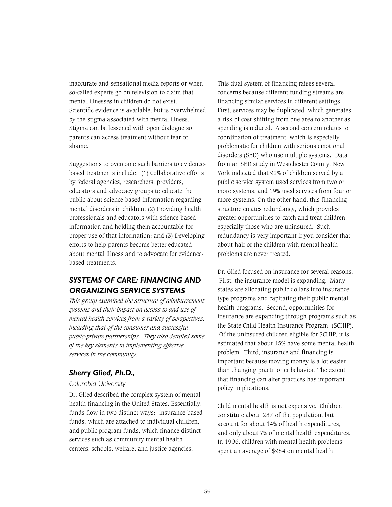inaccurate and sensational media reports or when so-called experts go on television to claim that mental illnesses in children do not exist. Scientific evidence is available, but is overwhelmed by the stigma associated with mental illness. Stigma can be lessened with open dialogue so parents can access treatment without fear or shame.

Suggestions to overcome such barriers to evidencebased treatments include: (1) Collaborative efforts by federal agencies, researchers, providers, educators and advocacy groups to educate the public about science-based information regarding mental disorders in children; (2) Providing health professionals and educators with science-based information and holding them accountable for proper use of that information; and (3) Developing efforts to help parents become better educated about mental illness and to advocate for evidencebased treatments.

# *SYSTEMS OF CARE: FINANCING AND ORGANIZING SERVICE SYSTEMS*

*This group examined the structure of reimbursement systems and their impact on access to and use of mental health services from a variety of perspectives, including that of the consumer and successful public-private partnerships. They also detailed some of the key elements in implementing effective services in the community.*

# *Sherry Glied, Ph.D.,*

#### *Columbia University*

Dr. Glied described the complex system of mental health financing in the United States. Essentially, funds flow in two distinct ways: insurance-based funds, which are attached to individual children, and public program funds, which finance distinct services such as community mental health centers, schools, welfare, and justice agencies.

This dual system of financing raises several concerns because different funding streams are financing similar services in different settings. First, services may be duplicated, which generates a risk of cost shifting from one area to another as spending is reduced. A second concern relates to coordination of treatment, which is especially problematic for children with serious emotional disorders (SED) who use multiple systems. Data from an SED study in Westchester County, New York indicated that 92% of children served by a public service system used services from two or more systems, and 19% used services from four or more systems. On the other hand, this financing structure creates redundancy, which provides greater opportunities to catch and treat children, especially those who are uninsured. Such redundancy is very important if you consider that about half of the children with mental health problems are never treated.

Dr. Glied focused on insurance for several reasons. First, the insurance model is expanding. Many states are allocating public dollars into insurance type programs and capitating their public mental health programs. Second, opportunities for insurance are expanding through programs such as the State Child Health Insurance Program (SCHIP). Of the uninsured children eligible for SCHIP, it is estimated that about 15% have some mental health problem. Third, insurance and financing is important because moving money is a lot easier than changing practitioner behavior. The extent that financing can alter practices has important policy implications.

Child mental health is not expensive. Children constitute about 28% of the population, but account for about 14% of health expenditures, and only about 7% of mental health expenditures. In 1996, children with mental health problems spent an average of \$984 on mental health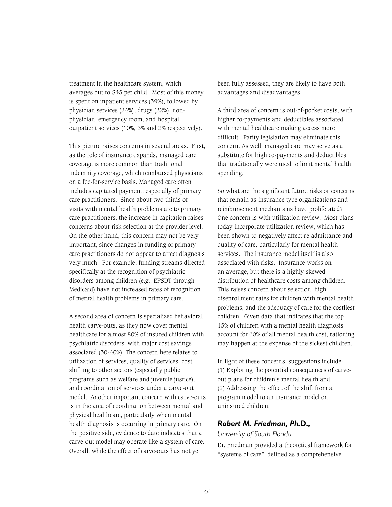treatment in the healthcare system, which averages out to \$45 per child. Most of this money is spent on inpatient services (39%), followed by physician services (24%), drugs (22%), nonphysician, emergency room, and hospital outpatient services (10%, 3% and 2% respectively).

This picture raises concerns in several areas. First, as the role of insurance expands, managed care coverage is more common than traditional indemnity coverage, which reimbursed physicians on a fee-for-service basis. Managed care often includes capitated payment, especially of primary care practitioners. Since about two thirds of visits with mental health problems are to primary care practitioners, the increase in capitation raises concerns about risk selection at the provider level. On the other hand, this concern may not be very important, since changes in funding of primary care practitioners do not appear to affect diagnosis very much. For example, funding streams directed specifically at the recognition of psychiatric disorders among children (e.g., EPSDT through Medicaid) have not increased rates of recognition of mental health problems in primary care.

A second area of concern is specialized behavioral health carve-outs, as they now cover mental healthcare for almost 80% of insured children with psychiatric disorders, with major cost savings associated (30-40%). The concern here relates to utilization of services, quality of services, cost shifting to other sectors (especially public programs such as welfare and juvenile justice), and coordination of services under a carve-out model. Another important concern with carve-outs is in the area of coordination between mental and physical healthcare, particularly when mental health diagnosis is occurring in primary care. On the positive side, evidence to date indicates that a carve-out model may operate like a system of care. Overall, while the effect of carve-outs has not yet

been fully assessed, they are likely to have both advantages and disadvantages.

A third area of concern is out-of-pocket costs, with higher co-payments and deductibles associated with mental healthcare making access more difficult. Parity legislation may eliminate this concern. As well, managed care may serve as a substitute for high co-payments and deductibles that traditionally were used to limit mental health spending.

So what are the significant future risks or concerns that remain as insurance type organizations and reimbursement mechanisms have proliferated? One concern is with utilization review. Most plans today incorporate utilization review, which has been shown to negatively affect re-admittance and quality of care, particularly for mental health services. The insurance model itself is also associated with risks. Insurance works on an average, but there is a highly skewed distribution of healthcare costs among children. This raises concern about selection, high disenrollment rates for children with mental health problems, and the adequacy of care for the costliest children. Given data that indicates that the top 15% of children with a mental health diagnosis account for 60% of all mental health cost, rationing may happen at the expense of the sickest children.

In light of these concerns, suggestions include: (1) Exploring the potential consequences of carveout plans for children's mental health and (2) Addressing the effect of the shift from a program model to an insurance model on uninsured children.

## *Robert M. Friedman, Ph.D.,*

#### *University of South Florida*

Dr. Friedman provided a theoretical framework for "systems of care", defined as a comprehensive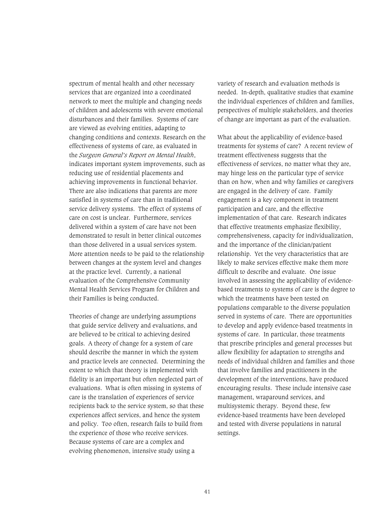spectrum of mental health and other necessary services that are organized into a coordinated network to meet the multiple and changing needs of children and adolescents with severe emotional disturbances and their families. Systems of care are viewed as evolving entities, adapting to changing conditions and contexts. Research on the effectiveness of systems of care, as evaluated in the *Surgeon General's Report on Mental Health*, indicates important system improvements, such as reducing use of residential placements and achieving improvements in functional behavior. There are also indications that parents are more satisfied in systems of care than in traditional service delivery systems. The effect of systems of care on cost is unclear. Furthermore, services delivered within a system of care have not been demonstrated to result in better clinical outcomes than those delivered in a usual services system. More attention needs to be paid to the relationship between changes at the system level and changes at the practice level. Currently, a national evaluation of the Comprehensive Community Mental Health Services Program for Children and their Families is being conducted.

Theories of change are underlying assumptions that guide service delivery and evaluations, and are believed to be critical to achieving desired goals. A theory of change for a system of care should describe the manner in which the system and practice levels are connected. Determining the extent to which that theory is implemented with fidelity is an important but often neglected part of evaluations. What is often missing in systems of care is the translation of experiences of service recipients back to the service system, so that these experiences affect services, and hence the system and policy. Too often, research fails to build from the experience of those who receive services. Because systems of care are a complex and evolving phenomenon, intensive study using a

variety of research and evaluation methods is needed. In-depth, qualitative studies that examine the individual experiences of children and families, perspectives of multiple stakeholders, and theories of change are important as part of the evaluation.

What about the applicability of evidence-based treatments for systems of care? A recent review of treatment effectiveness suggests that the effectiveness of services, no matter what they are, may hinge less on the particular type of service than on how, when and why families or caregivers are engaged in the delivery of care. Family engagement is a key component in treatment participation and care, and the effective implementation of that care. Research indicates that effective treatments emphasize flexibility, comprehensiveness, capacity for individualization, and the importance of the clinician/patient relationship. Yet the very characteristics that are likely to make services effective make them more difficult to describe and evaluate. One issue involved in assessing the applicability of evidencebased treatments to systems of care is the degree to which the treatments have been tested on populations comparable to the diverse population served in systems of care. There are opportunities to develop and apply evidence-based treatments in systems of care. In particular, those treatments that prescribe principles and general processes but allow flexibility for adaptation to strengths and needs of individual children and families and those that involve families and practitioners in the development of the interventions, have produced encouraging results. These include intensive case management, wraparound services, and multisystemic therapy. Beyond these, few evidence-based treatments have been developed and tested with diverse populations in natural settings.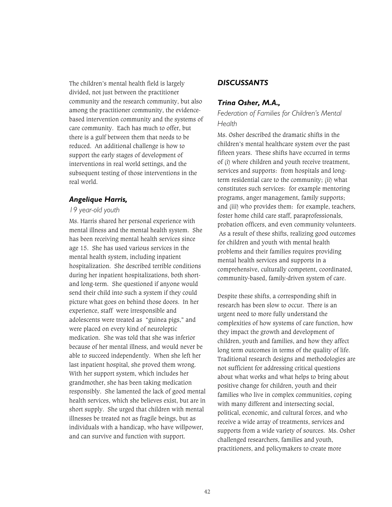The children's mental health field is largely divided, not just between the practitioner community and the research community, but also among the practitioner community, the evidencebased intervention community and the systems of care community. Each has much to offer, but there is a gulf between them that needs to be reduced. An additional challenge is how to support the early stages of development of interventions in real world settings, and the subsequent testing of those interventions in the real world.

### *Angelique Harris,*

#### *19 year-old youth*

Ms. Harris shared her personal experience with mental illness and the mental health system. She has been receiving mental health services since age 15. She has used various services in the mental health system, including inpatient hospitalization. She described terrible conditions during her inpatient hospitalizations, both shortand long-term. She questioned if anyone would send their child into such a system if they could picture what goes on behind those doors. In her experience, staff were irresponsible and adolescents were treated as "guinea pigs," and were placed on every kind of neuroleptic medication. She was told that she was inferior because of her mental illness, and would never be able to succeed independently. When she left her last inpatient hospital, she proved them wrong. With her support system, which includes her grandmother, she has been taking medication responsibly. She lamented the lack of good mental health services, which she believes exist, but are in short supply. She urged that children with mental illnesses be treated not as fragile beings, but as individuals with a handicap, who have willpower, and can survive and function with support.

## *DISCUSSANTS*

#### *Trina Osher, M.A.,*

*Federation of Families for Children's Mental Health* 

Ms. Osher described the dramatic shifts in the children's mental healthcare system over the past fifteen years. These shifts have occurred in terms of (i) where children and youth receive treatment, services and supports: from hospitals and longterm residential care to the community; (ii) what constitutes such services: for example mentoring programs, anger management, family supports; and (iii) who provides them: for example, teachers, foster home child care staff, paraprofessionals, probation officers, and even community volunteers. As a result of these shifts, realizing good outcomes for children and youth with mental health problems and their families requires providing mental health services and supports in a comprehensive, culturally competent, coordinated, community-based, family-driven system of care.

Despite these shifts, a corresponding shift in research has been slow to occur. There is an urgent need to more fully understand the complexities of how systems of care function, how they impact the growth and development of children, youth and families, and how they affect long term outcomes in terms of the quality of life. Traditional research designs and methodologies are not sufficient for addressing critical questions about what works and what helps to bring about positive change for children, youth and their families who live in complex communities, coping with many different and intersecting social, political, economic, and cultural forces, and who receive a wide array of treatments, services and supports from a wide variety of sources. Ms. Osher challenged researchers, families and youth, practitioners, and policymakers to create more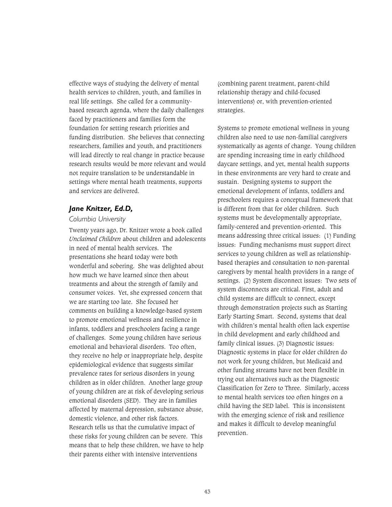effective ways of studying the delivery of mental health services to children, youth, and families in real life settings. She called for a communitybased research agenda, where the daily challenges faced by practitioners and families form the foundation for setting research priorities and funding distribution. She believes that connecting researchers, families and youth, and practitioners will lead directly to real change in practice because research results would be more relevant and would not require translation to be understandable in settings where mental heath treatments, supports and services are delivered.

## *Jane Knitzer, Ed.D,*

#### *Columbia University*

Twenty years ago, Dr. Knitzer wrote a book called *Unclaimed Children* about children and adolescents in need of mental health services. The presentations she heard today were both wonderful and sobering. She was delighted about how much we have learned since then about treatments and about the strength of family and consumer voices. Yet, she expressed concern that we are starting too late. She focused her comments on building a knowledge-based system to promote emotional wellness and resilience in infants, toddlers and preschoolers facing a range of challenges. Some young children have serious emotional and behavioral disorders. Too often, they receive no help or inappropriate help, despite epidemiological evidence that suggests similar prevalence rates for serious disorders in young children as in older children. Another large group of young children are at risk of developing serious emotional disorders (SED). They are in families affected by maternal depression, substance abuse, domestic violence, and other risk factors. Research tells us that the cumulative impact of these risks for young children can be severe. This means that to help these children, we have to help their parents either with intensive interventions

(combining parent treatment, parent-child relationship therapy and child-focused interventions) or, with prevention-oriented strategies.

Systems to promote emotional wellness in young children also need to use non-familial caregivers systematically as agents of change. Young children are spending increasing time in early childhood daycare settings, and yet, mental health supports in these environments are very hard to create and sustain. Designing systems to support the emotional development of infants, toddlers and preschoolers requires a conceptual framework that is different from that for older children. Such systems must be developmentally appropriate, family-centered and prevention-oriented. This means addressing three critical issues: (1) Funding issues: Funding mechanisms must support direct services to young children as well as relationshipbased therapies and consultation to non-parental caregivers by mental health providers in a range of settings. (2) System disconnect issues: Two sets of system disconnects are critical. First, adult and child systems are difficult to connect, except through demonstration projects such as Starting Early Starting Smart. Second, systems that deal with children's mental health often lack expertise in child development and early childhood and family clinical issues. (3) Diagnostic issues: Diagnostic systems in place for older children do not work for young children, but Medicaid and other funding streams have not been flexible in trying out alternatives such as the Diagnostic Classification for Zero to Three. Similarly, access to mental health services too often hinges on a child having the SED label. This is inconsistent with the emerging science of risk and resilience and makes it difficult to develop meaningful prevention.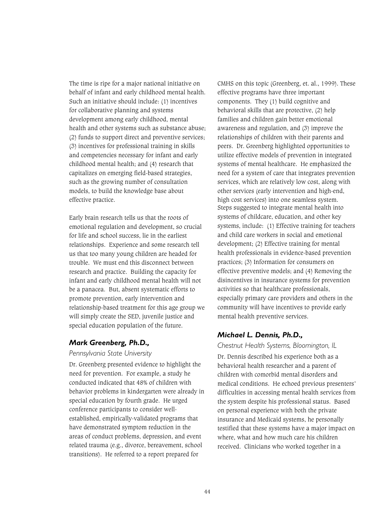The time is ripe for a major national initiative on behalf of infant and early childhood mental health. Such an initiative should include: (1) incentives for collaborative planning and systems development among early childhood, mental health and other systems such as substance abuse; (2) funds to support direct and preventive services; (3) incentives for professional training in skills and competencies necessary for infant and early childhood mental health; and (4) research that capitalizes on emerging field-based strategies, such as the growing number of consultation models, to build the knowledge base about effective practice.

Early brain research tells us that the roots of emotional regulation and development, so crucial for life and school success, lie in the earliest relationships. Experience and some research tell us that too many young children are headed for trouble. We must end this disconnect between research and practice. Building the capacity for infant and early childhood mental health will not be a panacea. But, absent systematic efforts to promote prevention, early intervention and relationship-based treatment for this age group we will simply create the SED, juvenile justice and special education population of the future.

## *Mark Greenberg, Ph.D.,*

#### *Pennsylvania State University*

Dr. Greenberg presented evidence to highlight the need for prevention. For example, a study he conducted indicated that 48% of children with behavior problems in kindergarten were already in special education by fourth grade. He urged conference participants to consider wellestablished, empirically-validated programs that have demonstrated symptom reduction in the areas of conduct problems, depression, and event related trauma (e.g., divorce, bereavement, school transitions). He referred to a report prepared for

CMHS on this topic (Greenberg, et. al., 1999). These effective programs have three important components. They (1) build cognitive and behavioral skills that are protective, (2) help families and children gain better emotional awareness and regulation, and (3) improve the relationships of children with their parents and peers. Dr. Greenberg highlighted opportunities to utilize effective models of prevention in integrated systems of mental healthcare. He emphasized the need for a system of care that integrates prevention services, which are relatively low cost, along with other services (early intervention and high-end, high cost services) into one seamless system. Steps suggested to integrate mental health into systems of childcare, education, and other key systems, include: (1) Effective training for teachers and child care workers in social and emotional development; (2) Effective training for mental health professionals in evidence-based prevention practices; (3) Information for consumers on effective preventive models; and (4) Removing the disincentives in insurance systems for prevention activities so that healthcare professionals, especially primary care providers and others in the community will have incentives to provide early mental health preventive services.

# *Michael L. Dennis, Ph.D.,*

### *Chestnut Health Systems, Bloomington, IL*

Dr. Dennis described his experience both as a behavioral health researcher and a parent of children with comorbid mental disorders and medical conditions. He echoed previous presenters' difficulties in accessing mental health services from the system despite his professional status. Based on personal experience with both the private insurance and Medicaid systems, he personally testified that these systems have a major impact on where, what and how much care his children received. Clinicians who worked together in a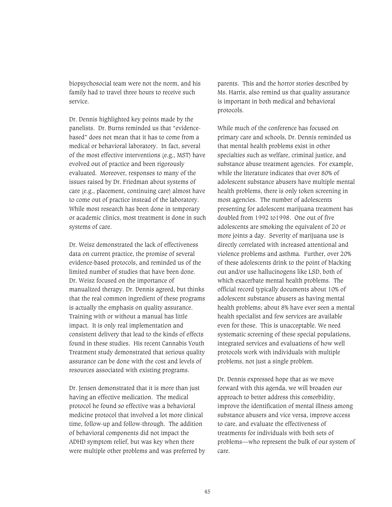biopsychosocial team were not the norm, and his family had to travel three hours to receive such service.

Dr. Dennis highlighted key points made by the panelists. Dr. Burns reminded us that "evidencebased" does not mean that it has to come from a medical or behavioral laboratory. In fact, several of the most effective interventions (e.g., MST) have evolved out of practice and been rigorously evaluated. Moreover, responses to many of the issues raised by Dr. Friedman about systems of care (e.g., placement, continuing care) almost have to come out of practice instead of the laboratory. While most research has been done in temporary or academic clinics, most treatment is done in such systems of care.

Dr. Weisz demonstrated the lack of effectiveness data on current practice, the promise of several evidence-based protocols, and reminded us of the limited number of studies that have been done. Dr. Weisz focused on the importance of manualized therapy. Dr. Dennis agreed, but thinks that the real common ingredient of these programs is actually the emphasis on quality assurance. Training with or without a manual has little impact. It is only real implementation and consistent delivery that lead to the kinds of effects found in these studies. His recent Cannabis Youth Treatment study demonstrated that serious quality assurance can be done with the cost and levels of resources associated with existing programs.

Dr. Jensen demonstrated that it is more than just having an effective medication. The medical protocol he found so effective was a behavioral medicine protocol that involved a lot more clinical time, follow-up and follow-through. The addition of behavioral components did not impact the ADHD symptom relief, but was key when there were multiple other problems and was preferred by parents. This and the horror stories described by Ms. Harris, also remind us that quality assurance is important in both medical and behavioral protocols.

While much of the conference has focused on primary care and schools, Dr. Dennis reminded us that mental health problems exist in other specialties such as welfare, criminal justice, and substance abuse treatment agencies. For example, while the literature indicates that over 80% of adolescent substance abusers have multiple mental health problems, there is only token screening in most agencies. The number of adolescents presenting for adolescent marijuana treatment has doubled from 1992 to1998. One out of five adolescents are smoking the equivalent of 20 or more joints a day. Severity of marijuana use is directly correlated with increased attentional and violence problems and asthma. Further, over 20% of these adolescents drink to the point of blacking out and/or use hallucinogens like LSD, both of which exacerbate mental health problems. The official record typically documents about 10% of adolescent substance abusers as having mental health problems; about 8% have ever seen a mental health specialist and few services are available even for those. This is unacceptable. We need systematic screening of these special populations, integrated services and evaluations of how well protocols work with individuals with multiple problems, not just a single problem.

Dr. Dennis expressed hope that as we move forward with this agenda, we will broaden our approach to better address this comorbidity, improve the identification of mental illness among substance abusers and vice versa, improve access to care, and evaluate the effectiveness of treatments for individuals with both sets of problems—who represent the bulk of our system of care.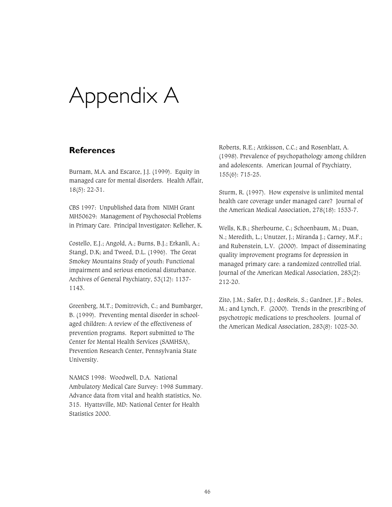# Appendix A

# **References**

Burnam, M.A. and Escarce, J.J. (1999). Equity in managed care for mental disorders. Health Affair, 18(5): 22-31.

CBS 1997: Unpublished data from NIMH Grant MH50629: Management of Psychosocial Problems in Primary Care. Principal Investigator: Kelleher, K.

Costello, E.J.; Angold, A.; Burns, B.J.; Erkanli, A.; Stangl, D.K; and Tweed, D.L. (1996). The Great Smokey Mountains Study of youth: Functional impairment and serious emotional disturbance. Archives of General Psychiatry, 53(12): 1137- 1143.

Greenberg, M.T.; Domitrovich, C.; and Bumbarger, B. (1999). Preventing mental disorder in schoolaged children: A review of the effectiveness of prevention programs. Report submitted to The Center for Mental Health Services (SAMHSA), Prevention Research Center, Pennsylvania State University.

NAMCS 1998: Woodwell, D.A. National Ambulatory Medical Care Survey: 1998 Summary. Advance data from vital and health statistics, No. 315. Hyattsville, MD: National Center for Health Statistics 2000.

Roberts, R.E.; Attkisson, C.C.; and Rosenblatt, A. (1998). Prevalence of psychopathology among children and adolescents. American Journal of Psychiatry, 155(6): 715-25.

Sturm, R. (1997). How expensive is unlimited mental health care coverage under managed care? Journal of the American Medical Association, 278(18): 1533-7.

Wells, K.B.; Sherbourne, C.; Schoenbaum, M.; Duan, N.; Meredith, L.; Unutzer, J.; Miranda J.; Carney, M.F.; and Rubenstein, L.V. (2000). Impact of disseminating quality improvement programs for depression in managed primary care: a randomized controlled trial. Journal of the American Medical Association, 283(2): 212-20.

Zito, J.M.; Safer, D.J.; dosReis, S.; Gardner, J.F.; Boles, M.; and Lynch, F. (2000). Trends in the prescribing of psychotropic medications to preschoolers. Journal of the American Medical Association, 283(8): 1025-30.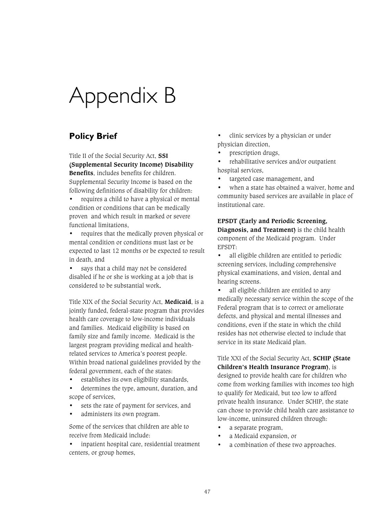# Appendix B

# **Policy Brief**

Title II of the Social Security Act, **SSI (Supplemental Security Income) Disability Benefits**, includes benefits for children. Supplemental Security Income is based on the following definitions of disability for children:

• requires a child to have a physical or mental condition or conditions that can be medically proven and which result in marked or severe functional limitations,

• requires that the medically proven physical or mental condition or conditions must last or be expected to last 12 months or be expected to result in death, and

• says that a child may not be considered disabled if he or she is working at a job that is considered to be substantial work.

Title XIX of the Social Security Act, **Medicaid**, is a jointly funded, federal-state program that provides health care coverage to low-income individuals and families. Medicaid eligibility is based on family size and family income. Medicaid is the largest program providing medical and healthrelated services to America's poorest people. Within broad national guidelines provided by the federal government, each of the states:

• establishes its own eligibility standards,

determines the type, amount, duration, and scope of services,

- sets the rate of payment for services, and
- administers its own program.

Some of the services that children are able to receive from Medicaid include:

• inpatient hospital care, residential treatment centers, or group homes,

• clinic services by a physician or under physician direction,

• prescription drugs,

• rehabilitative services and/or outpatient hospital services,

• targeted case management, and

when a state has obtained a waiver, home and community based services are available in place of institutional care.

### **EPSDT (Early and Periodic Screening, Diagnosis, and Treatment)** is the child health component of the Medicaid program. Under EPSDT:

• all eligible children are entitled to periodic screening services, including comprehensive physical examinations, and vision, dental and hearing screens.

all eligible children are entitled to any medically necessary service within the scope of the Federal program that is to correct or ameliorate defects, and physical and mental illnesses and conditions, even if the state in which the child resides has not otherwise elected to include that service in its state Medicaid plan.

Title XXI of the Social Security Act, **SCHIP (State Children's Health Insurance Program)**, is designed to provide health care for children who come from working families with incomes too high to qualify for Medicaid, but too low to afford private health insurance. Under SCHIP, the state can chose to provide child health care assistance to low-income, uninsured children through:

- a separate program,
- a Medicaid expansion, or
- a combination of these two approaches.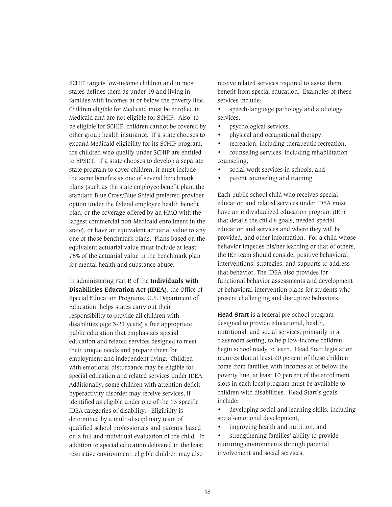SCHIP targets low-income children and in most states defines them as under 19 and living in families with incomes at or below the poverty line. Children eligible for Medicaid must be enrolled in Medicaid and are not eligible for SCHIP. Also, to be eligible for SCHIP, children cannot be covered by other group health insurance. If a state chooses to expand Medicaid eligibility for its SCHIP program, the children who qualify under SCHIP are entitled to EPSDT. If a state chooses to develop a separate state program to cover children, it must include the same benefits as one of several benchmark plans (such as the state employee benefit plan, the standard Blue Cross/Blue Shield preferred provider option under the federal employee health benefit plan, or the coverage offered by an HMO with the largest commercial non-Medicaid enrollment in the state), or have an equivalent actuarial value to any one of those benchmark plans. Plans based on the equivalent actuarial value must include at least 75% of the actuarial value in the benchmark plan for mental health and substance abuse.

In administering Part B of the **Individuals with Disabilities Education Act (IDEA)**, the Office of Special Education Programs, U.S. Department of Education, helps states carry out their responsibility to provide all children with disabilities (age 3-21 years) a free appropriate public education that emphasizes special education and related services designed to meet their unique needs and prepare them for employment and independent living. Children with emotional disturbance may be eligible for special education and related services under IDEA. Additionally, some children with attention deficit hyperactivity disorder may receive services, if identified as eligible under one of the 13 specific IDEA categories of disability. Eligibility is determined by a multi-disciplinary team of qualified school professionals and parents, based on a full and individual evaluation of the child. In addition to special education delivered in the least restrictive environment, eligible children may also

receive related services required to assist them benefit from special education. Examples of these services include:

- speech-language pathology and audiology services,
- psychological services,
- physical and occupational therapy,
- recreation, including therapeutic recreation,
- counseling services, including rehabilitation counseling,
- social work services in schools, and
- parent counseling and training.

Each public school child who receives special education and related services under IDEA must have an individualized education program (IEP) that details the child's goals, needed special education and services and where they will be provided, and other information. For a child whose behavior impedes his/her learning or that of others, the IEP team should consider positive behavioral interventions, strategies, and supports to address that behavior. The IDEA also provides for functional behavior assessments and development of behavioral intervention plans for students who present challenging and disruptive behaviors.

**Head Start** is a federal pre-school program designed to provide educational, health, nutritional, and social services, primarily in a classroom setting, to help low-income children begin school ready to learn. Head Start legislation requires that at least 90 percent of these children come from families with incomes at or below the poverty line; at least 10 percent of the enrollment slots in each local program must be available to children with disabilities. Head Start's goals include:

- developing social and learning skills, including social-emotional development,
- improving health and nutrition, and
- strengthening families' ability to provide nurturing environments through parental involvement and social services.